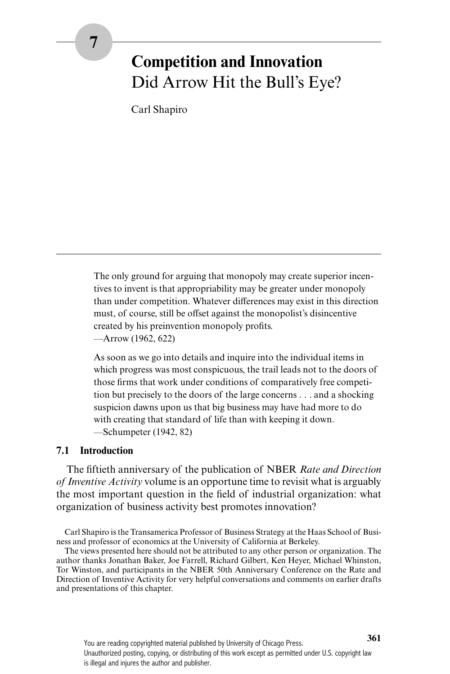# **Competition and Innovation** Did Arrow Hit the Bull's Eye?

Carl Shapiro

**7**

The only ground for arguing that monopoly may create superior incentives to invent is that appropriability may be greater under monopoly than under competition. Whatever differences may exist in this direction must, of course, still be offset against the monopolist's disincentive created by his preinvention monopoly profits.

—Arrow (1962, 622)

As soon as we go into details and inquire into the individual items in which progress was most conspicuous, the trail leads not to the doors of those firms that work under conditions of comparatively free competition but precisely to the doors of the large concerns . . . and a shocking suspicion dawns upon us that big business may have had more to do with creating that standard of life than with keeping it down. —Schumpeter (1942, 82)

## **7.1 Introduction**

The fiftieth anniversary of the publication of NBER *Rate and Direction of Inventive Activity* volume is an opportune time to revisit what is arguably the most important question in the field of industrial organization: what organization of business activity best promotes innovation?

Carl Shapiro is the Transamerica Professor of Business Strategy at the Haas School of Business and professor of economics at the University of California at Berkeley.

The views presented here should not be attributed to any other person or organization. The author thanks Jonathan Baker, Joe Farrell, Richard Gilbert, Ken Heyer, Michael Whinston, Tor Winston, and participants in the NBER 50th Anniversary Conference on the Rate and Direction of Inventive Activity for very helpful conversations and comments on earlier drafts and presentations of this chapter.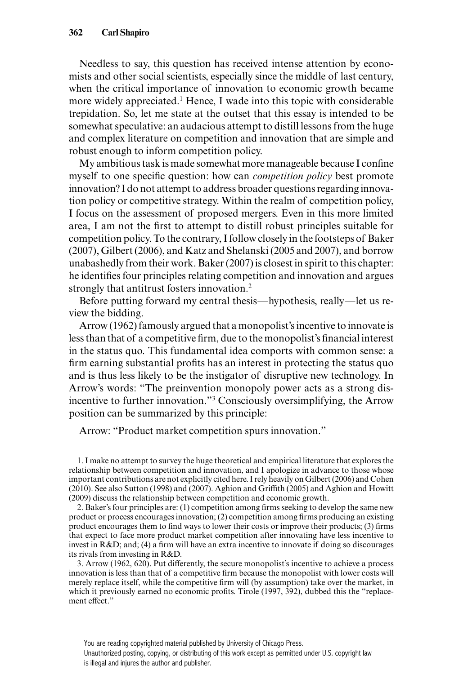Needless to say, this question has received intense attention by economists and other social scientists, especially since the middle of last century, when the critical importance of innovation to economic growth became more widely appreciated.<sup>1</sup> Hence, I wade into this topic with considerable trepidation. So, let me state at the outset that this essay is intended to be somewhat speculative: an audacious attempt to distill lessons from the huge and complex literature on competition and innovation that are simple and robust enough to inform competition policy.

My ambitious task is made somewhat more manageable because I confine myself to one specific question: how can *competition policy* best promote innovation? I do not attempt to address broader questions regarding innovation policy or competitive strategy. Within the realm of competition policy, I focus on the assessment of proposed mergers. Even in this more limited area, I am not the first to attempt to distill robust principles suitable for competition policy. To the contrary, I follow closely in the footsteps of Baker (2007), Gilbert (2006), and Katz and Shelanski (2005 and 2007), and borrow unabashedly from their work. Baker (2007) is closest in spirit to this chapter: he identifies four principles relating competition and innovation and argues strongly that antitrust fosters innovation.<sup>2</sup>

Before putting forward my central thesis—hypothesis, really—let us review the bidding.

Arrow (1962) famously argued that a monopolist's incentive to innovate is less than that of a competitive firm, due to the monopolist's financial interest in the status quo. This fundamental idea comports with common sense: a firm earning substantial profits has an interest in protecting the status quo and is thus less likely to be the instigator of disruptive new technology. In Arrow's words: "The preinvention monopoly power acts as a strong disincentive to further innovation."3 Consciously oversimplifying, the Arrow position can be summarized by this principle:

Arrow: "Product market competition spurs innovation."

1. I make no attempt to survey the huge theoretical and empirical literature that explores the relationship between competition and innovation, and I apologize in advance to those whose important contributions are not explicitly cited here. I rely heavily on Gilbert (2006) and Cohen (2010). See also Sutton (1998) and (2007). Aghion and Griffith (2005) and Aghion and Howitt (2009) discuss the relationship between competition and economic growth.

2. Baker's four principles are:  $(1)$  competition among firms seeking to develop the same new product or process encourages innovation; (2) competition among firms producing an existing product encourages them to find ways to lower their costs or improve their products; (3) firms that expect to face more product market competition after innovating have less incentive to invest in  $R&D$ ; and; (4) a firm will have an extra incentive to innovate if doing so discourages its rivals from investing in R&D.

3. Arrow (1962, 620). Put differently, the secure monopolist's incentive to achieve a process innovation is less than that of a competitive firm because the monopolist with lower costs will merely replace itself, while the competitive firm will (by assumption) take over the market, in which it previously earned no economic profits. Tirole  $(1997, 392)$ , dubbed this the "replacement effect."

 You are reading copyrighted material published by University of Chicago Press. Unauthorized posting, copying, or distributing of this work except as permitted under U.S. copyright law is illegal and injures the author and publisher.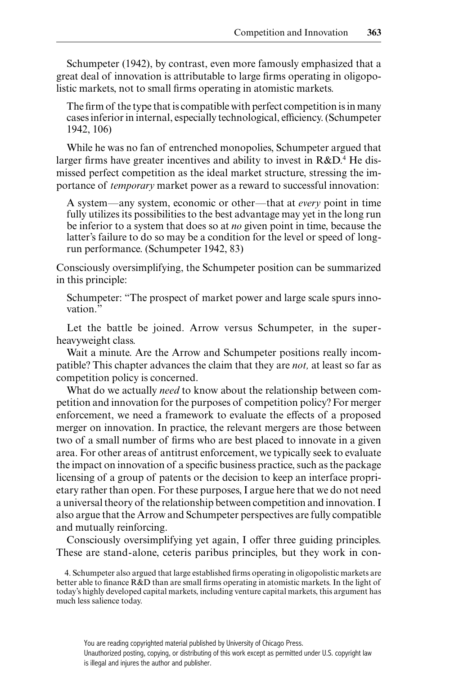Schumpeter (1942), by contrast, even more famously emphasized that a great deal of innovation is attributable to large firms operating in oligopolistic markets, not to small firms operating in atomistic markets.

The firm of the type that is compatible with perfect competition is in many cases inferior in internal, especially technological, efficiency. (Schumpeter 1942, 106)

While he was no fan of entrenched monopolies, Schumpeter argued that larger firms have greater incentives and ability to invest in  $R&D$ <sup>4</sup> He dismissed perfect competition as the ideal market structure, stressing the importance of *temporary* market power as a reward to successful innovation:

A system—any system, economic or other—that at *every* point in time fully utilizes its possibilities to the best advantage may yet in the long run be inferior to a system that does so at *no* given point in time, because the latter's failure to do so may be a condition for the level or speed of long run performance. (Schumpeter 1942, 83)

Consciously oversimplifying, the Schumpeter position can be summarized in this principle:

Schumpeter: "The prospect of market power and large scale spurs innovation."

Let the battle be joined. Arrow versus Schumpeter, in the super heavyweight class.

Wait a minute. Are the Arrow and Schumpeter positions really incompatible? This chapter advances the claim that they are *not,* at least so far as competition policy is concerned.

What do we actually *need* to know about the relationship between competition and innovation for the purposes of competition policy? For merger enforcement, we need a framework to evaluate the effects of a proposed merger on innovation. In practice, the relevant mergers are those between two of a small number of firms who are best placed to innovate in a given area. For other areas of antitrust enforcement, we typically seek to evaluate the impact on innovation of a specific business practice, such as the package licensing of a group of patents or the decision to keep an interface proprietary rather than open. For these purposes, I argue here that we do not need a universal theory of the relationship between competition and innovation. I also argue that the Arrow and Schumpeter perspectives are fully compatible and mutually reinforcing.

Consciously oversimplifying yet again, I offer three guiding principles. These are stand- alone, ceteris paribus principles, but they work in con-

4. Schumpeter also argued that large established firms operating in oligopolistic markets are better able to finance R&D than are small firms operating in atomistic markets. In the light of today's highly developed capital markets, including venture capital markets, this argument has much less salience today.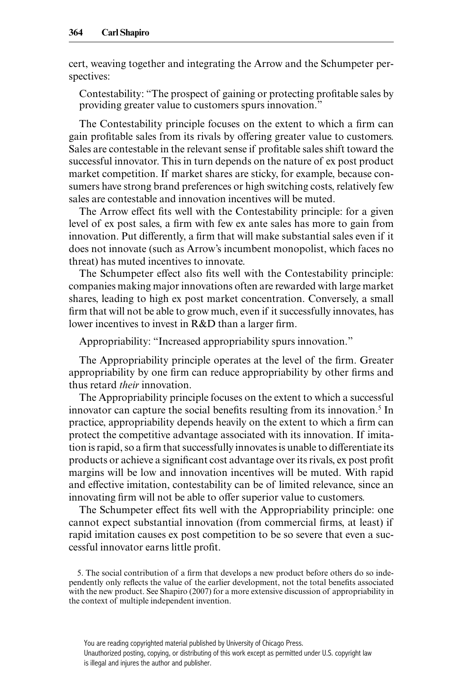cert, weaving together and integrating the Arrow and the Schumpeter perspectives:

Contestability: "The prospect of gaining or protecting profitable sales by providing greater value to customers spurs innovation."

The Contestability principle focuses on the extent to which a firm can gain profitable sales from its rivals by offering greater value to customers. Sales are contestable in the relevant sense if profitable sales shift toward the successful innovator. This in turn depends on the nature of ex post product market competition. If market shares are sticky, for example, because consumers have strong brand preferences or high switching costs, relatively few sales are contestable and innovation incentives will be muted.

The Arrow effect fits well with the Contestability principle: for a given level of ex post sales, a firm with few ex ante sales has more to gain from innovation. Put differently, a firm that will make substantial sales even if it does not innovate (such as Arrow's incumbent monopolist, which faces no threat) has muted incentives to innovate.

The Schumpeter effect also fits well with the Contestability principle: companies making major innovations often are rewarded with large market shares, leading to high ex post market concentration. Conversely, a small firm that will not be able to grow much, even if it successfully innovates, has lower incentives to invest in  $R&D$  than a larger firm.

Appropriability: "Increased appropriability spurs innovation."

The Appropriability principle operates at the level of the firm. Greater appropriability by one firm can reduce appropriability by other firms and thus retard *their* innovation.

The Appropriability principle focuses on the extent to which a successful innovator can capture the social benefits resulting from its innovation.<sup>5</sup> In practice, appropriability depends heavily on the extent to which a firm can protect the competitive advantage associated with its innovation. If imitation is rapid, so a firm that successfully innovates is unable to differentiate its products or achieve a significant cost advantage over its rivals, ex post profit margins will be low and innovation incentives will be muted. With rapid and effective imitation, contestability can be of limited relevance, since an innovating firm will not be able to offer superior value to customers.

The Schumpeter effect fits well with the Appropriability principle: one cannot expect substantial innovation (from commercial firms, at least) if rapid imitation causes ex post competition to be so severe that even a successful innovator earns little profit.

5. The social contribution of a firm that develops a new product before others do so independently only reflects the value of the earlier development, not the total benefits associated with the new product. See Shapiro (2007) for a more extensive discussion of appropriability in the context of multiple independent invention.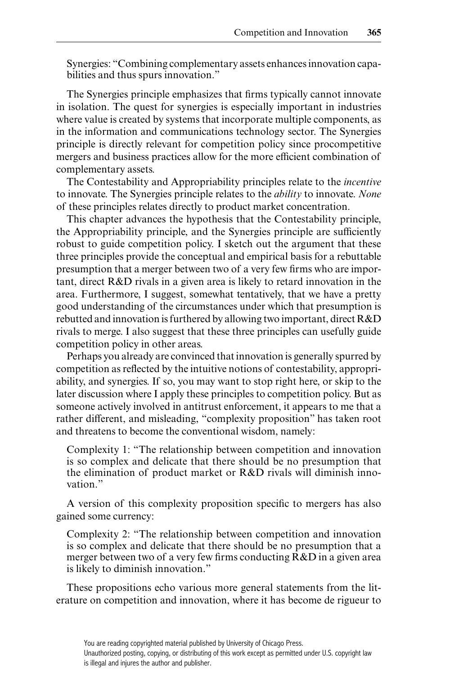Synergies: "Combining complementary assets enhances innovation capabilities and thus spurs innovation."

The Synergies principle emphasizes that firms typically cannot innovate in isolation. The quest for synergies is especially important in industries where value is created by systems that incorporate multiple components, as in the information and communications technology sector. The Synergies principle is directly relevant for competition policy since procompetitive mergers and business practices allow for the more efficient combination of complementary assets.

The Contestability and Appropriability principles relate to the *incentive* to innovate. The Synergies principle relates to the *ability* to innovate. *None* of these principles relates directly to product market concentration.

This chapter advances the hypothesis that the Contestability principle, the Appropriability principle, and the Synergies principle are sufficiently robust to guide competition policy. I sketch out the argument that these three principles provide the conceptual and empirical basis for a rebuttable presumption that a merger between two of a very few firms who are important, direct R&D rivals in a given area is likely to retard innovation in the area. Furthermore, I suggest, somewhat tentatively, that we have a pretty good understanding of the circumstances under which that presumption is rebutted and innovation is furthered by allowing two important, direct R&D rivals to merge. I also suggest that these three principles can usefully guide competition policy in other areas.

Perhaps you already are convinced that innovation is generally spurred by competition as reflected by the intuitive notions of contestability, appropriability, and synergies. If so, you may want to stop right here, or skip to the later discussion where I apply these principles to competition policy. But as someone actively involved in antitrust enforcement, it appears to me that a rather different, and misleading, "complexity proposition" has taken root and threatens to become the conventional wisdom, namely:

Complexity 1: "The relationship between competition and innovation is so complex and delicate that there should be no presumption that the elimination of product market or R&D rivals will diminish innovation."

A version of this complexity proposition specific to mergers has also gained some currency:

Complexity 2: "The relationship between competition and innovation is so complex and delicate that there should be no presumption that a merger between two of a very few firms conducting  $R&D$  in a given area is likely to diminish innovation."

These propositions echo various more general statements from the literature on competition and innovation, where it has become de rigueur to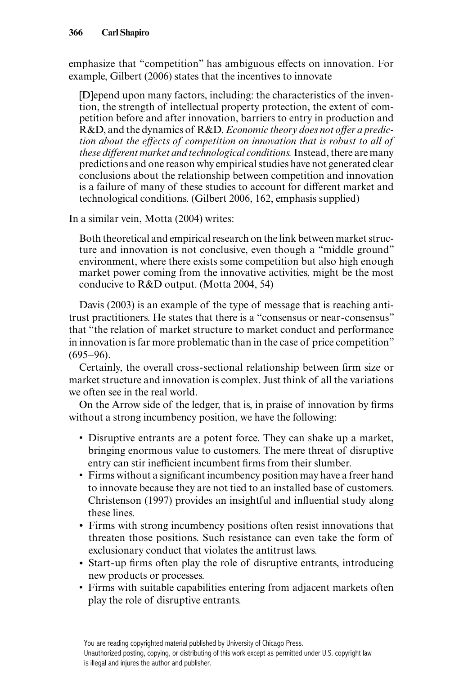emphasize that "competition" has ambiguous effects on innovation. For example, Gilbert (2006) states that the incentives to innovate

[D]epend upon many factors, including: the characteristics of the invention, the strength of intellectual property protection, the extent of competition before and after innovation, barriers to entry in production and R&D, and the dynamics of R&D. *Economic theory does not offer a prediction about the effects of competition on innovation that is robust to all of these different market and technological conditions.* Instead, there are many predictions and one reason why empirical studies have not generated clear conclusions about the relationship between competition and innovation is a failure of many of these studies to account for different market and technological conditions. (Gilbert 2006, 162, emphasis supplied)

In a similar vein, Motta (2004) writes:

Both theoretical and empirical research on the link between market structure and innovation is not conclusive, even though a "middle ground" environment, where there exists some competition but also high enough market power coming from the innovative activities, might be the most conducive to R&D output. (Motta 2004, 54)

Davis (2003) is an example of the type of message that is reaching antitrust practitioners. He states that there is a "consensus or near- consensus" that "the relation of market structure to market conduct and performance in innovation is far more problematic than in the case of price competition"  $(695 - 96)$ .

Certainly, the overall cross-sectional relationship between firm size or market structure and innovation is complex. Just think of all the variations we often see in the real world.

On the Arrow side of the ledger, that is, in praise of innovation by firms without a strong incumbency position, we have the following:

- Disruptive entrants are a potent force. They can shake up a market, bringing enormous value to customers. The mere threat of disruptive entry can stir inefficient incumbent firms from their slumber.
- Firms without a significant incumbency position may have a freer hand to innovate because they are not tied to an installed base of customers. Christenson (1997) provides an insightful and influential study along these lines.
- Firms with strong incumbency positions often resist innovations that threaten those positions. Such resistance can even take the form of exclusionary conduct that violates the antitrust laws.
- Start-up firms often play the role of disruptive entrants, introducing new products or processes.
- Firms with suitable capabilities entering from adjacent markets often play the role of disruptive entrants.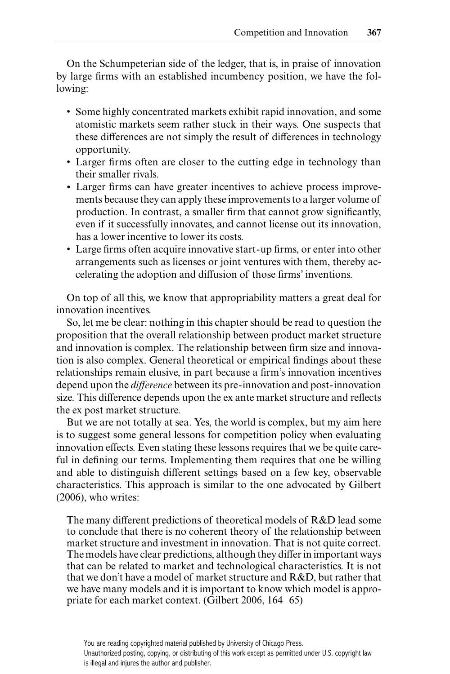On the Schumpeterian side of the ledger, that is, in praise of innovation by large firms with an established incumbency position, we have the following:

- Some highly concentrated markets exhibit rapid innovation, and some atomistic markets seem rather stuck in their ways. One suspects that these differences are not simply the result of differences in technology opportunity.
- Larger firms often are closer to the cutting edge in technology than their smaller rivals.
- Larger firms can have greater incentives to achieve process improvements because they can apply these improvements to a larger volume of production. In contrast, a smaller firm that cannot grow significantly, even if it successfully innovates, and cannot license out its innovation, has a lower incentive to lower its costs.
- Large firms often acquire innovative start-up firms, or enter into other arrangements such as licenses or joint ventures with them, thereby accelerating the adoption and diffusion of those firms' inventions.

On top of all this, we know that appropriability matters a great deal for innovation incentives.

So, let me be clear: nothing in this chapter should be read to question the proposition that the overall relationship between product market structure and innovation is complex. The relationship between firm size and innovation is also complex. General theoretical or empirical findings about these relationships remain elusive, in part because a firm's innovation incentives depend upon the *difference* between its pre- innovation and post- innovation size. This difference depends upon the ex ante market structure and reflects the ex post market structure.

But we are not totally at sea. Yes, the world is complex, but my aim here is to suggest some general lessons for competition policy when evaluating innovation effects. Even stating these lessons requires that we be quite careful in defining our terms. Implementing them requires that one be willing and able to distinguish different settings based on a few key, observable characteristics. This approach is similar to the one advocated by Gilbert (2006), who writes:

The many different predictions of theoretical models of R&D lead some to conclude that there is no coherent theory of the relationship between market structure and investment in innovation. That is not quite correct. The models have clear predictions, although they differ in important ways that can be related to market and technological characteristics. It is not that we don't have a model of market structure and R&D, but rather that we have many models and it is important to know which model is appropriate for each market context. (Gilbert 2006, 164–65)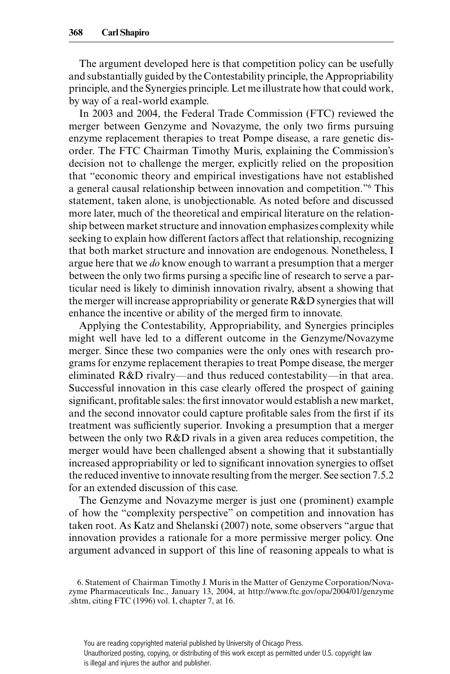The argument developed here is that competition policy can be usefully and substantially guided by the Contestability principle, the Appropriability principle, and the Synergies principle. Let me illustrate how that could work, by way of a real- world example.

In 2003 and 2004, the Federal Trade Commission (FTC) reviewed the merger between Genzyme and Novazyme, the only two firms pursuing enzyme replacement therapies to treat Pompe disease, a rare genetic disorder. The FTC Chairman Timothy Muris, explaining the Commission's decision not to challenge the merger, explicitly relied on the proposition that "economic theory and empirical investigations have not established a general causal relationship between innovation and competition."6 This statement, taken alone, is unobjectionable. As noted before and discussed more later, much of the theoretical and empirical literature on the relationship between market structure and innovation emphasizes complexity while seeking to explain how different factors affect that relationship, recognizing that both market structure and innovation are endogenous. Nonetheless, I argue here that we *do* know enough to warrant a presumption that a merger between the only two firms pursing a specific line of research to serve a particular need is likely to diminish innovation rivalry, absent a showing that the merger will increase appropriability or generate  $R&D$  synergies that will enhance the incentive or ability of the merged firm to innovate.

Applying the Contestability, Appropriability, and Synergies principles might well have led to a different outcome in the Genzyme/ Novazyme merger. Since these two companies were the only ones with research programs for enzyme replacement therapies to treat Pompe disease, the merger eliminated R&D rivalry—and thus reduced contestability—in that area. Successful innovation in this case clearly offered the prospect of gaining significant, profitable sales: the first innovator would establish a new market, and the second innovator could capture profitable sales from the first if its treatment was sufficiently superior. Invoking a presumption that a merger between the only two R&D rivals in a given area reduces competition, the merger would have been challenged absent a showing that it substantially increased appropriability or led to significant innovation synergies to offset the reduced inventive to innovate resulting from the merger. See section 7.5.2 for an extended discussion of this case.

The Genzyme and Novazyme merger is just one (prominent) example of how the "complexity perspective" on competition and innovation has taken root. As Katz and Shelanski (2007) note, some observers "argue that innovation provides a rationale for a more permissive merger policy. One argument advanced in support of this line of reasoning appeals to what is

<sup>6.</sup> Statement of Chairman Timothy J. Muris in the Matter of Genzyme Corporation/ Novazyme Pharmaceuticals Inc., January 13, 2004, at http://www.ftc.gov/opa/2004/01/genzyme .shtm, citing FTC (1996) vol. I, chapter 7, at 16.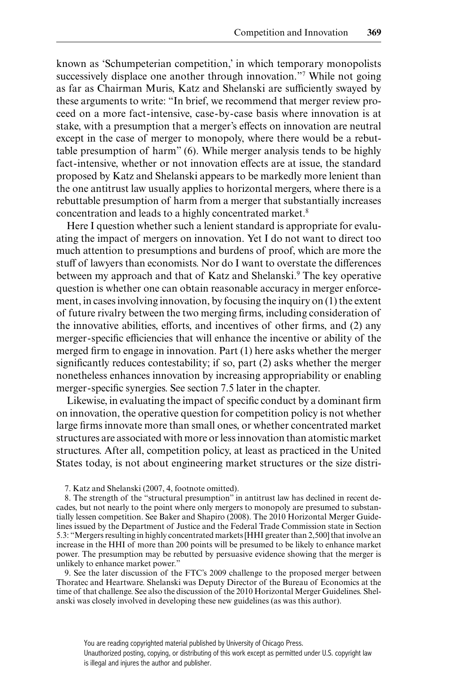known as 'Schumpeterian competition,' in which temporary monopolists successively displace one another through innovation."<sup>7</sup> While not going as far as Chairman Muris, Katz and Shelanski are sufficiently swayed by these arguments to write: "In brief, we recommend that merger review proceed on a more fact- intensive, case- by- case basis where innovation is at stake, with a presumption that a merger's effects on innovation are neutral except in the case of merger to monopoly, where there would be a rebuttable presumption of harm" (6). While merger analysis tends to be highly fact- intensive, whether or not innovation effects are at issue, the standard proposed by Katz and Shelanski appears to be markedly more lenient than the one antitrust law usually applies to horizontal mergers, where there is a rebuttable presumption of harm from a merger that substantially increases concentration and leads to a highly concentrated market.<sup>8</sup>

Here I question whether such a lenient standard is appropriate for evaluating the impact of mergers on innovation. Yet I do not want to direct too much attention to presumptions and burdens of proof, which are more the stuff of lawyers than economists. Nor do I want to overstate the differences between my approach and that of Katz and Shelanski.<sup>9</sup> The key operative question is whether one can obtain reasonable accuracy in merger enforcement, in cases involving innovation, by focusing the inquiry on (1) the extent of future rivalry between the two merging firms, including consideration of the innovative abilities, efforts, and incentives of other firms, and (2) any merger-specific efficiencies that will enhance the incentive or ability of the merged firm to engage in innovation. Part  $(1)$  here asks whether the merger significantly reduces contestability; if so, part (2) asks whether the merger nonetheless enhances innovation by increasing appropriability or enabling merger-specific synergies. See section 7.5 later in the chapter.

Likewise, in evaluating the impact of specific conduct by a dominant firm on innovation, the operative question for competition policy is not whether large firms innovate more than small ones, or whether concentrated market structures are associated with more or less innovation than atomistic market structures. After all, competition policy, at least as practiced in the United States today, is not about engineering market structures or the size distri-

7. Katz and Shelanski (2007, 4, footnote omitted).

8. The strength of the "structural presumption" in antitrust law has declined in recent decades, but not nearly to the point where only mergers to monopoly are presumed to substantially lessen competition. See Baker and Shapiro (2008). The 2010 Horizontal Merger Guidelines issued by the Department of Justice and the Federal Trade Commission state in Section 5.3: "Mergers resulting in highly concentrated markets [HHI greater than 2,500] that involve an increase in the HHI of more than 200 points will be presumed to be likely to enhance market power. The presumption may be rebutted by persuasive evidence showing that the merger is unlikely to enhance market power."

9. See the later discussion of the FTC's 2009 challenge to the proposed merger between Thoratec and Heartware. Shelanski was Deputy Director of the Bureau of Economics at the time of that challenge. See also the discussion of the 2010 Horizontal Merger Guidelines. Shelanski was closely involved in developing these new guidelines (as was this author).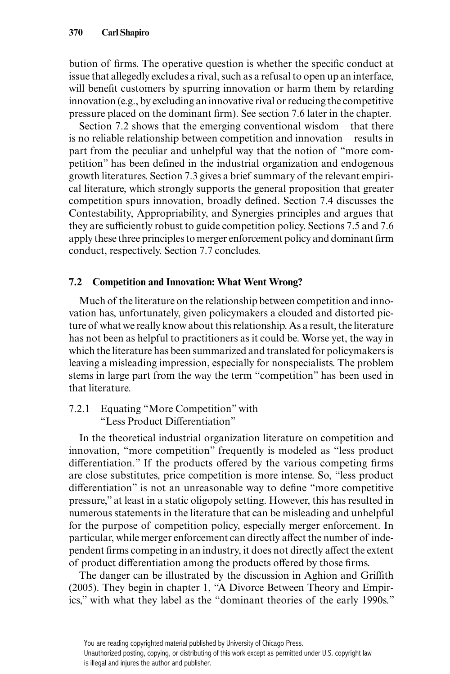bution of firms. The operative question is whether the specific conduct at issue that allegedly excludes a rival, such as a refusal to open up an interface, will benefit customers by spurring innovation or harm them by retarding innovation (e.g., by excluding an innovative rival or reducing the competitive pressure placed on the dominant firm). See section 7.6 later in the chapter.

Section 7.2 shows that the emerging conventional wisdom—that there is no reliable relationship between competition and innovation—results in part from the peculiar and unhelpful way that the notion of "more competition" has been defined in the industrial organization and endogenous growth literatures. Section 7.3 gives a brief summary of the relevant empirical literature, which strongly supports the general proposition that greater competition spurs innovation, broadly defined. Section 7.4 discusses the Contestability, Appropriability, and Synergies principles and argues that they are sufficiently robust to guide competition policy. Sections 7.5 and 7.6 apply these three principles to merger enforcement policy and dominant firm conduct, respectively. Section 7.7 concludes.

#### **7.2 Competition and Innovation: What Went Wrong?**

Much of the literature on the relationship between competition and innovation has, unfortunately, given policymakers a clouded and distorted picture of what we really know about this relationship. As a result, the literature has not been as helpful to practitioners as it could be. Worse yet, the way in which the literature has been summarized and translated for policymakers is leaving a misleading impression, especially for nonspecialists. The problem stems in large part from the way the term "competition" has been used in that literature.

# 7.2.1 Equating "More Competition" with "Less Product Differentiation"

In the theoretical industrial organization literature on competition and innovation, "more competition" frequently is modeled as "less product differentiation." If the products offered by the various competing firms are close substitutes, price competition is more intense. So, "less product differentiation" is not an unreasonable way to define "more competitive pressure," at least in a static oligopoly setting. However, this has resulted in numerous statements in the literature that can be misleading and unhelpful for the purpose of competition policy, especially merger enforcement. In particular, while merger enforcement can directly affect the number of independent firms competing in an industry, it does not directly affect the extent of product differentiation among the products offered by those firms.

The danger can be illustrated by the discussion in Aghion and Griffith (2005). They begin in chapter 1, "A Divorce Between Theory and Empirics," with what they label as the "dominant theories of the early 1990s."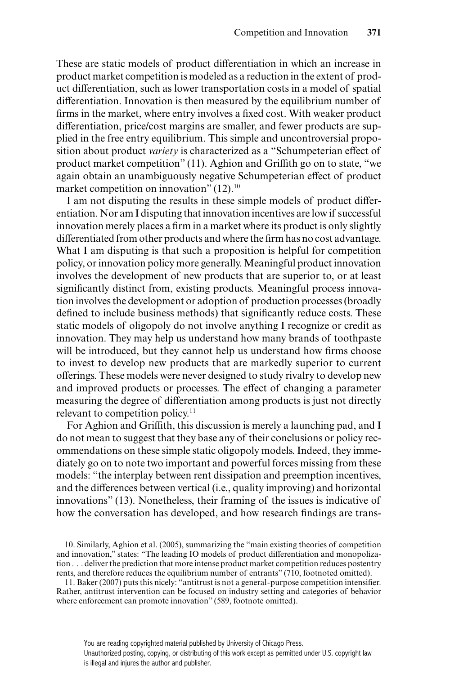These are static models of product differentiation in which an increase in product market competition is modeled as a reduction in the extent of product differentiation, such as lower transportation costs in a model of spatial differentiation. Innovation is then measured by the equilibrium number of firms in the market, where entry involves a fixed cost. With weaker product differentiation, price/cost margins are smaller, and fewer products are supplied in the free entry equilibrium. This simple and uncontroversial proposition about product *variety* is characterized as a "Schumpeterian effect of product market competition" (11). Aghion and Griffith go on to state, "we again obtain an unambiguously negative Schumpeterian effect of product market competition on innovation" (12).<sup>10</sup>

I am not disputing the results in these simple models of product differentiation. Nor am I disputing that innovation incentives are low if successful innovation merely places a firm in a market where its product is only slightly differentiated from other products and where the firm has no cost advantage. What I am disputing is that such a proposition is helpful for competition policy, or innovation policy more generally. Meaningful product innovation involves the development of new products that are superior to, or at least significantly distinct from, existing products. Meaningful process innovation involves the development or adoption of production processes (broadly defined to include business methods) that significantly reduce costs. These static models of oligopoly do not involve anything I recognize or credit as innovation. They may help us understand how many brands of toothpaste will be introduced, but they cannot help us understand how firms choose to invest to develop new products that are markedly superior to current offerings. These models were never designed to study rivalry to develop new and improved products or processes. The effect of changing a parameter measuring the degree of differentiation among products is just not directly relevant to competition policy.<sup>11</sup>

For Aghion and Griffith, this discussion is merely a launching pad, and I do not mean to suggest that they base any of their conclusions or policy recommendations on these simple static oligopoly models. Indeed, they immediately go on to note two important and powerful forces missing from these models: "the interplay between rent dissipation and preemption incentives, and the differences between vertical (i.e., quality improving) and horizontal innovations" (13). Nonetheless, their framing of the issues is indicative of how the conversation has developed, and how research findings are trans-

11. Baker (2007) puts this nicely: "antitrust is not a general-purpose competition intensifier. Rather, antitrust intervention can be focused on industry setting and categories of behavior where enforcement can promote innovation" (589, footnote omitted).

 You are reading copyrighted material published by University of Chicago Press. Unauthorized posting, copying, or distributing of this work except as permitted under U.S. copyright law is illegal and injures the author and publisher.

<sup>10.</sup> Similarly, Aghion et al. (2005), summarizing the "main existing theories of competition and innovation," states: "The leading IO models of product differentiation and monopolization . . . deliver the prediction that more intense product market competition reduces postentry rents, and therefore reduces the equilibrium number of entrants" (710, footnoted omitted).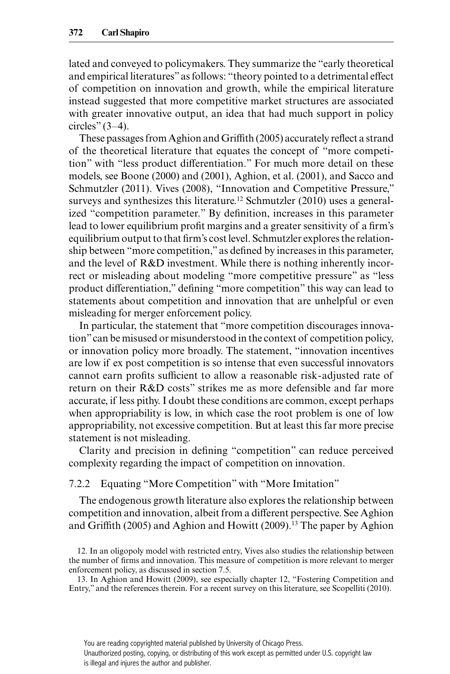lated and conveyed to policymakers. They summarize the "early theoretical and empirical literatures" as follows: "theory pointed to a detrimental effect of competition on innovation and growth, while the empirical literature instead suggested that more competitive market structures are associated with greater innovative output, an idea that had much support in policy circles"  $(3-4)$ .

These passages from Aghion and Griffith (2005) accurately reflect a strand of the theoretical literature that equates the concept of "more competition" with "less product differentiation." For much more detail on these models, see Boone (2000) and (2001), Aghion, et al. (2001), and Sacco and Schmutzler (2011). Vives (2008), "Innovation and Competitive Pressure," surveys and synthesizes this literature.<sup>12</sup> Schmutzler (2010) uses a generalized "competition parameter." By definition, increases in this parameter lead to lower equilibrium profit margins and a greater sensitivity of a firm's equilibrium output to that firm's cost level. Schmutzler explores the relationship between "more competition," as defined by increases in this parameter, and the level of R&D investment. While there is nothing inherently incorrect or misleading about modeling "more competitive pressure" as "less product differentiation," defining "more competition" this way can lead to statements about competition and innovation that are unhelpful or even misleading for merger enforcement policy.

In particular, the statement that "more competition discourages innovation" can be misused or misunderstood in the context of competition policy, or innovation policy more broadly. The statement, "innovation incentives are low if ex post competition is so intense that even successful innovators cannot earn profits sufficient to allow a reasonable risk-adjusted rate of return on their R&D costs" strikes me as more defensible and far more accurate, if less pithy. I doubt these conditions are common, except perhaps when appropriability is low, in which case the root problem is one of low appropriability, not excessive competition. But at least this far more precise statement is not misleading.

Clarity and precision in defining "competition" can reduce perceived complexity regarding the impact of competition on innovation.

# 7.2.2 Equating "More Competition" with "More Imitation"

The endogenous growth literature also explores the relationship between competition and innovation, albeit from a different perspective. See Aghion and Griffith (2005) and Aghion and Howitt (2009).<sup>13</sup> The paper by Aghion

13. In Aghion and Howitt (2009), see especially chapter 12, "Fostering Competition and Entry," and the references therein. For a recent survey on this literature, see Scopelliti (2010).

 Unauthorized posting, copying, or distributing of this work except as permitted under U.S. copyright law is illegal and injures the author and publisher.

<sup>12.</sup> In an oligopoly model with restricted entry, Vives also studies the relationship between the number of firms and innovation. This measure of competition is more relevant to merger enforcement policy, as discussed in section 7.5.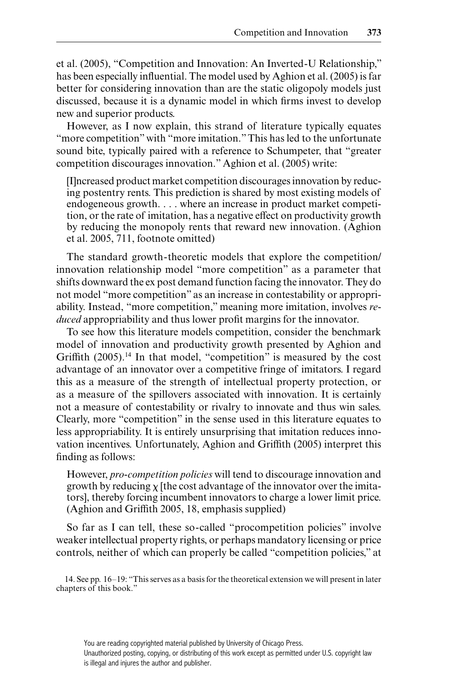et al. (2005), "Competition and Innovation: An Inverted- U Relationship," has been especially influential. The model used by Aghion et al. (2005) is far better for considering innovation than are the static oligopoly models just discussed, because it is a dynamic model in which firms invest to develop new and superior products.

However, as I now explain, this strand of literature typically equates "more competition" with "more imitation." This has led to the unfortunate sound bite, typically paired with a reference to Schumpeter, that "greater competition discourages innovation." Aghion et al. (2005) write:

[I]ncreased product market competition discourages innovation by reducing postentry rents. This prediction is shared by most existing models of endogeneous growth. . . . where an increase in product market competition, or the rate of imitation, has a negative effect on productivity growth by reducing the monopoly rents that reward new innovation. (Aghion et al. 2005, 711, footnote omitted)

The standard growth- theoretic models that explore the competition/ innovation relationship model "more competition" as a parameter that shifts downward the ex post demand function facing the innovator. They do not model "more competition" as an increase in contestability or appropriability. Instead, "more competition," meaning more imitation, involves *reduced* appropriability and thus lower profit margins for the innovator.

To see how this literature models competition, consider the benchmark model of innovation and productivity growth presented by Aghion and Griffith (2005).<sup>14</sup> In that model, "competition" is measured by the cost advantage of an innovator over a competitive fringe of imitators. I regard this as a measure of the strength of intellectual property protection, or as a measure of the spillovers associated with innovation. It is certainly not a measure of contestability or rivalry to innovate and thus win sales. Clearly, more "competition" in the sense used in this literature equates to less appropriability. It is entirely unsurprising that imitation reduces innovation incentives. Unfortunately, Aghion and Griffith (2005) interpret this finding as follows:

However, *pro- competition policies* will tend to discourage innovation and growth by reducing  $\chi$  [the cost advantage of the innovator over the imitators], thereby forcing incumbent innovators to charge a lower limit price. (Aghion and Griffith 2005, 18, emphasis supplied)

So far as I can tell, these so-called "procompetition policies" involve weaker intellectual property rights, or perhaps mandatory licensing or price controls, neither of which can properly be called "competition policies," at

14. See pp. 16– 19: "This serves as a basis for the theoretical extension we will present in later chapters of this book."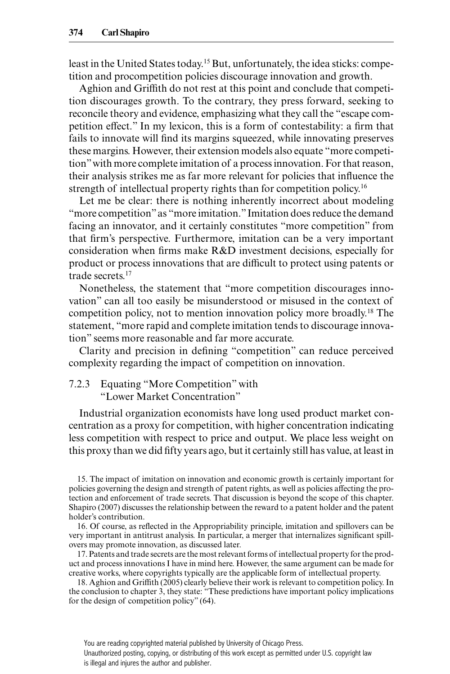least in the United States today.15 But, unfortunately, the idea sticks: competition and procompetition policies discourage innovation and growth.

Aghion and Griffith do not rest at this point and conclude that competition discourages growth. To the contrary, they press forward, seeking to reconcile theory and evidence, emphasizing what they call the "escape competition effect." In my lexicon, this is a form of contestability: a firm that fails to innovate will find its margins squeezed, while innovating preserves these margins. However, their extension models also equate "more competition" with more complete imitation of a process innovation. For that reason, their analysis strikes me as far more relevant for policies that influence the strength of intellectual property rights than for competition policy.16

Let me be clear: there is nothing inherently incorrect about modeling "more competition" as "more imitation." Imitation does reduce the demand facing an innovator, and it certainly constitutes "more competition" from that firm's perspective. Furthermore, imitation can be a very important consideration when firms make  $R&D$  investment decisions, especially for product or process innovations that are difficult to protect using patents or trade secrets.17

Nonetheless, the statement that "more competition discourages innovation" can all too easily be misunderstood or misused in the context of competition policy, not to mention innovation policy more broadly.18 The statement, "more rapid and complete imitation tends to discourage innovation" seems more reasonable and far more accurate.

Clarity and precision in defining "competition" can reduce perceived complexity regarding the impact of competition on innovation.

7.2.3 Equating "More Competition" with "Lower Market Concentration"

Industrial organization economists have long used product market concentration as a proxy for competition, with higher concentration indicating less competition with respect to price and output. We place less weight on this proxy than we did fifty years ago, but it certainly still has value, at least in

15. The impact of imitation on innovation and economic growth is certainly important for policies governing the design and strength of patent rights, as well as policies affecting the protection and enforcement of trade secrets. That discussion is beyond the scope of this chapter. Shapiro (2007) discusses the relationship between the reward to a patent holder and the patent holder's contribution.

16. Of course, as reflected in the Appropriability principle, imitation and spillovers can be very important in antitrust analysis. In particular, a merger that internalizes significant spillovers may promote innovation, as discussed later.

17. Patents and trade secrets are the most relevant forms of intellectual property for the product and process innovations I have in mind here. However, the same argument can be made for creative works, where copyrights typically are the applicable form of intellectual property.

18. Aghion and Griffith (2005) clearly believe their work is relevant to competition policy. In the conclusion to chapter 3, they state: "These predictions have important policy implications for the design of competition policy" (64).

You are reading copyrighted material published by University of Chicago Press.

 Unauthorized posting, copying, or distributing of this work except as permitted under U.S. copyright law is illegal and injures the author and publisher.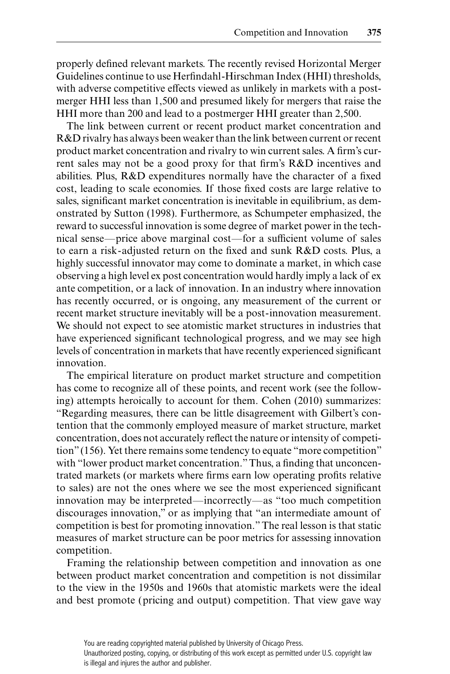properly defined relevant markets. The recently revised Horizontal Merger Guidelines continue to use Herfindahl-Hirschman Index (HHI) thresholds, with adverse competitive effects viewed as unlikely in markets with a postmerger HHI less than 1,500 and presumed likely for mergers that raise the HHI more than 200 and lead to a postmerger HHI greater than 2,500.

The link between current or recent product market concentration and R&D rivalry has always been weaker than the link between current or recent product market concentration and rivalry to win current sales. A firm's current sales may not be a good proxy for that firm's R&D incentives and abilities. Plus,  $R&D$  expenditures normally have the character of a fixed cost, leading to scale economies. If those fixed costs are large relative to sales, significant market concentration is inevitable in equilibrium, as demonstrated by Sutton (1998). Furthermore, as Schumpeter emphasized, the reward to successful innovation is some degree of market power in the technical sense—price above marginal cost—for a sufficient volume of sales to earn a risk-adjusted return on the fixed and sunk R&D costs. Plus, a highly successful innovator may come to dominate a market, in which case observing a high level ex post concentration would hardly imply a lack of ex ante competition, or a lack of innovation. In an industry where innovation has recently occurred, or is ongoing, any measurement of the current or recent market structure inevitably will be a post-innovation measurement. We should not expect to see atomistic market structures in industries that have experienced significant technological progress, and we may see high levels of concentration in markets that have recently experienced significant innovation.

The empirical literature on product market structure and competition has come to recognize all of these points, and recent work (see the following) attempts heroically to account for them. Cohen (2010) summarizes: "Regarding measures, there can be little disagreement with Gilbert's contention that the commonly employed measure of market structure, market concentration, does not accurately reflect the nature or intensity of competition" (156). Yet there remains some tendency to equate "more competition" with "lower product market concentration." Thus, a finding that unconcentrated markets (or markets where firms earn low operating profits relative to sales) are not the ones where we see the most experienced significant innovation may be interpreted—incorrectly—as "too much competition discourages innovation," or as implying that "an intermediate amount of competition is best for promoting innovation." The real lesson is that static measures of market structure can be poor metrics for assessing innovation competition.

Framing the relationship between competition and innovation as one between product market concentration and competition is not dissimilar to the view in the 1950s and 1960s that atomistic markets were the ideal and best promote (pricing and output) competition. That view gave way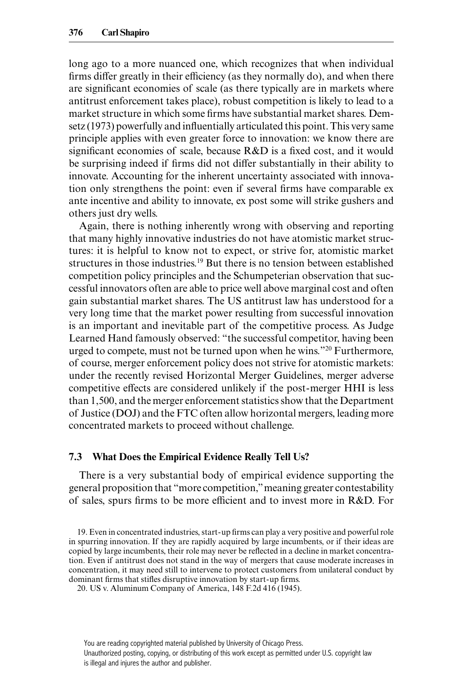long ago to a more nuanced one, which recognizes that when individual firms differ greatly in their efficiency (as they normally do), and when there are significant economies of scale (as there typically are in markets where antitrust enforcement takes place), robust competition is likely to lead to a market structure in which some firms have substantial market shares. Dem $setz(1973)$  powerfully and influentially articulated this point. This very same principle applies with even greater force to innovation: we know there are significant economies of scale, because R&D is a fixed cost, and it would be surprising indeed if firms did not differ substantially in their ability to innovate. Accounting for the inherent uncertainty associated with innovation only strengthens the point: even if several firms have comparable ex ante incentive and ability to innovate, ex post some will strike gushers and others just dry wells.

Again, there is nothing inherently wrong with observing and reporting that many highly innovative industries do not have atomistic market structures: it is helpful to know not to expect, or strive for, atomistic market structures in those industries.<sup>19</sup> But there is no tension between established competition policy principles and the Schumpeterian observation that successful innovators often are able to price well above marginal cost and often gain substantial market shares. The US antitrust law has understood for a very long time that the market power resulting from successful innovation is an important and inevitable part of the competitive process. As Judge Learned Hand famously observed: "the successful competitor, having been urged to compete, must not be turned upon when he wins."<sup>20</sup> Furthermore, of course, merger enforcement policy does not strive for atomistic markets: under the recently revised Horizontal Merger Guidelines, merger adverse competitive effects are considered unlikely if the post-merger HHI is less than 1,500, and the merger enforcement statistics show that the Department of Justice (DOJ) and the FTC often allow horizontal mergers, leading more concentrated markets to proceed without challenge.

#### **7.3 What Does the Empirical Evidence Really Tell Us?**

There is a very substantial body of empirical evidence supporting the general proposition that "more competition," meaning greater contestability of sales, spurs firms to be more efficient and to invest more in R&D. For

19. Even in concentrated industries, start-up firms can play a very positive and powerful role in spurring innovation. If they are rapidly acquired by large incumbents, or if their ideas are copied by large incumbents, their role may never be reflected in a decline in market concentration. Even if antitrust does not stand in the way of mergers that cause moderate increases in concentration, it may need still to intervene to protect customers from unilateral conduct by dominant firms that stifles disruptive innovation by start-up firms.

20. US v. Aluminum Company of America, 148 F.2d 416 (1945).

 You are reading copyrighted material published by University of Chicago Press. Unauthorized posting, copying, or distributing of this work except as permitted under U.S. copyright law is illegal and injures the author and publisher.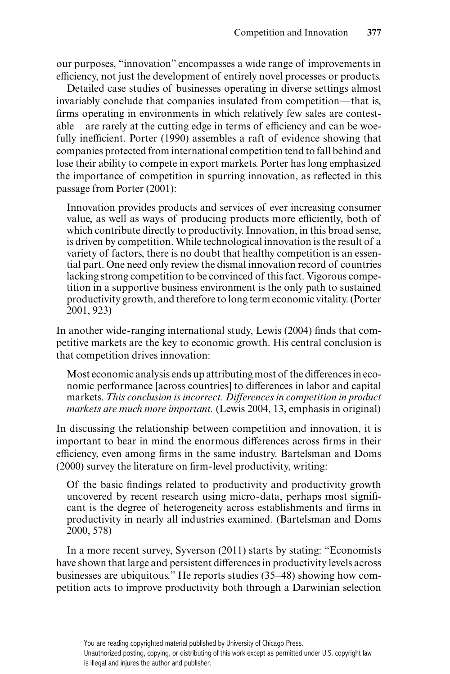our purposes, "innovation" encompasses a wide range of improvements in efficiency, not just the development of entirely novel processes or products.

Detailed case studies of businesses operating in diverse settings almost invariably conclude that companies insulated from competition—that is, firms operating in environments in which relatively few sales are contestable—are rarely at the cutting edge in terms of efficiency and can be woefully inefficient. Porter (1990) assembles a raft of evidence showing that companies protected from international competition tend to fall behind and lose their ability to compete in export markets. Porter has long emphasized the importance of competition in spurring innovation, as reflected in this passage from Porter (2001):

Innovation provides products and services of ever increasing consumer value, as well as ways of producing products more efficiently, both of which contribute directly to productivity. Innovation, in this broad sense, is driven by competition. While technological innovation is the result of a variety of factors, there is no doubt that healthy competition is an essential part. One need only review the dismal innovation record of countries lacking strong competition to be convinced of this fact. Vigorous competition in a supportive business environment is the only path to sustained productivity growth, and therefore to long term economic vitality. (Porter 2001, 923)

In another wide-ranging international study, Lewis (2004) finds that competitive markets are the key to economic growth. His central conclusion is that competition drives innovation:

Most economic analysis ends up attributing most of the differences in economic performance [across countries] to differences in labor and capital markets. *This conclusion is incorrect. Differences in competition in product markets are much more important.* (Lewis 2004, 13, emphasis in original)

In discussing the relationship between competition and innovation, it is important to bear in mind the enormous differences across firms in their efficiency, even among firms in the same industry. Bartelsman and Doms  $(2000)$  survey the literature on firm-level productivity, writing:

Of the basic findings related to productivity and productivity growth uncovered by recent research using micro-data, perhaps most significant is the degree of heterogeneity across establishments and firms in productivity in nearly all industries examined. (Bartelsman and Doms 2000, 578)

In a more recent survey, Syverson (2011) starts by stating: "Economists have shown that large and persistent differences in productivity levels across businesses are ubiquitous." He reports studies (35–48) showing how competition acts to improve productivity both through a Darwinian selection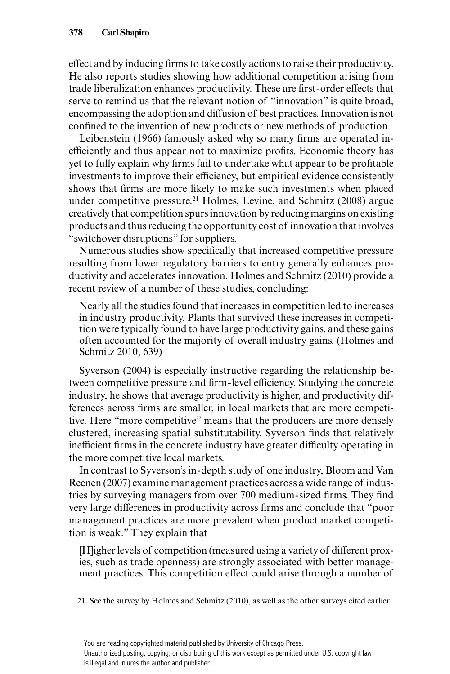effect and by inducing firms to take costly actions to raise their productivity. He also reports studies showing how additional competition arising from trade liberalization enhances productivity. These are first-order effects that serve to remind us that the relevant notion of "innovation" is quite broad, encompassing the adoption and diffusion of best practices. Innovation is not confined to the invention of new products or new methods of production.

Leibenstein (1966) famously asked why so many firms are operated inefficiently and thus appear not to maximize profits. Economic theory has yet to fully explain why firms fail to undertake what appear to be profitable investments to improve their efficiency, but empirical evidence consistently shows that firms are more likely to make such investments when placed under competitive pressure.<sup>21</sup> Holmes, Levine, and Schmitz (2008) argue creatively that competition spurs innovation by reducing margins on existing products and thus reducing the opportunity cost of innovation that involves "switchover disruptions" for suppliers.

Numerous studies show specifically that increased competitive pressure resulting from lower regulatory barriers to entry generally enhances productivity and accelerates innovation. Holmes and Schmitz (2010) provide a recent review of a number of these studies, concluding:

Nearly all the studies found that increases in competition led to increases in industry productivity. Plants that survived these increases in competition were typically found to have large productivity gains, and these gains often accounted for the majority of overall industry gains. (Holmes and Schmitz 2010, 639)

Syverson (2004) is especially instructive regarding the relationship between competitive pressure and firm-level efficiency. Studying the concrete industry, he shows that average productivity is higher, and productivity differences across firms are smaller, in local markets that are more competitive. Here "more competitive" means that the producers are more densely clustered, increasing spatial substitutability. Syverson finds that relatively inefficient firms in the concrete industry have greater difficulty operating in the more competitive local markets.

In contrast to Syverson's in- depth study of one industry, Bloom and Van Reenen (2007) examine management practices across a wide range of industries by surveying managers from over 700 medium-sized firms. They find very large differences in productivity across firms and conclude that "poor management practices are more prevalent when product market competition is weak." They explain that

[H]igher levels of competition (measured using a variety of different proxies, such as trade openness) are strongly associated with better management practices. This competition effect could arise through a number of

21. See the survey by Holmes and Schmitz (2010), as well as the other surveys cited earlier.

 You are reading copyrighted material published by University of Chicago Press. Unauthorized posting, copying, or distributing of this work except as permitted under U.S. copyright law is illegal and injures the author and publisher.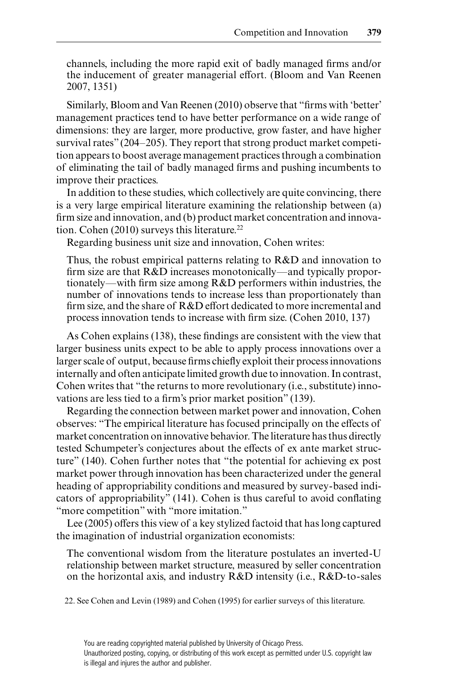channels, including the more rapid exit of badly managed firms and/or the inducement of greater managerial effort. (Bloom and Van Reenen 2007, 1351)

Similarly, Bloom and Van Reenen (2010) observe that "firms with 'better' management practices tend to have better performance on a wide range of dimensions: they are larger, more productive, grow faster, and have higher survival rates" (204–205). They report that strong product market competition appears to boost average management practices through a combination of eliminating the tail of badly managed firms and pushing incumbents to improve their practices.

In addition to these studies, which collectively are quite convincing, there is a very large empirical literature examining the relationship between (a) firm size and innovation, and (b) product market concentration and innovation. Cohen (2010) surveys this literature.<sup>22</sup>

Regarding business unit size and innovation, Cohen writes:

Thus, the robust empirical patterns relating to R&D and innovation to firm size are that  $R&D$  increases monotonically—and typically proportionately—with firm size among  $R&D$  performers within industries, the number of innovations tends to increase less than proportionately than firm size, and the share of  $R&D$  effort dedicated to more incremental and process innovation tends to increase with firm size. (Cohen 2010, 137)

As Cohen explains (138), these findings are consistent with the view that larger business units expect to be able to apply process innovations over a larger scale of output, because firms chiefly exploit their process innovations internally and often anticipate limited growth due to innovation. In contrast, Cohen writes that "the returns to more revolutionary (i.e., substitute) innovations are less tied to a firm's prior market position" (139).

Regarding the connection between market power and innovation, Cohen observes: "The empirical literature has focused principally on the effects of market concentration on innovative behavior. The literature has thus directly tested Schumpeter's conjectures about the effects of ex ante market structure" (140). Cohen further notes that "the potential for achieving ex post market power through innovation has been characterized under the general heading of appropriability conditions and measured by survey- based indicators of appropriability"  $(141)$ . Cohen is thus careful to avoid conflating "more competition" with "more imitation."

Lee (2005) offers this view of a key stylized factoid that has long captured the imagination of industrial organization economists:

The conventional wisdom from the literature postulates an inverted-U relationship between market structure, measured by seller concentration on the horizontal axis, and industry R&D intensity (i.e., R&D-to-sales

22. See Cohen and Levin (1989) and Cohen (1995) for earlier surveys of this literature.

 You are reading copyrighted material published by University of Chicago Press. Unauthorized posting, copying, or distributing of this work except as permitted under U.S. copyright law is illegal and injures the author and publisher.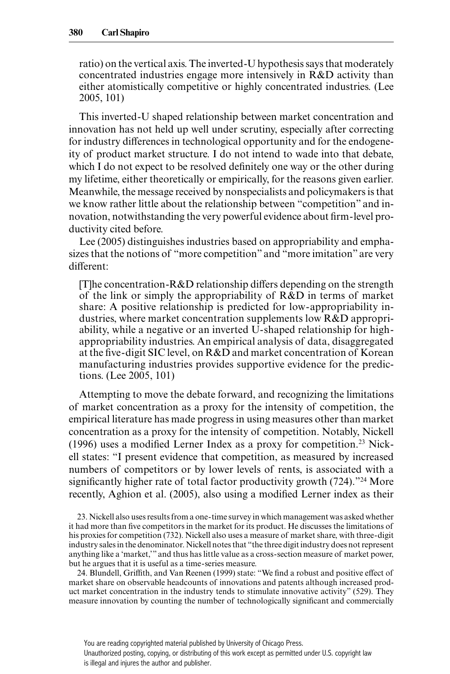ratio) on the vertical axis. The inverted- U hypothesis says that moderately concentrated industries engage more intensively in R&D activity than either atomistically competitive or highly concentrated industries. (Lee 2005, 101)

This inverted-U shaped relationship between market concentration and innovation has not held up well under scrutiny, especially after correcting for industry differences in technological opportunity and for the endogeneity of product market structure. I do not intend to wade into that debate, which I do not expect to be resolved definitely one way or the other during my lifetime, either theoretically or empirically, for the reasons given earlier. Meanwhile, the message received by nonspecialists and policymakers is that we know rather little about the relationship between "competition" and innovation, notwithstanding the very powerful evidence about firm-level productivity cited before.

Lee (2005) distinguishes industries based on appropriability and emphasizes that the notions of "more competition" and "more imitation" are very different:

 $[T]$ he concentration-R&D relationship differs depending on the strength of the link or simply the appropriability of R&D in terms of market share: A positive relationship is predicted for low- appropriability industries, where market concentration supplements low R&D appropriability, while a negative or an inverted U- shaped relationship for highappropriability industries. An empirical analysis of data, disaggregated at the five-digit SIC level, on R&D and market concentration of Korean manufacturing industries provides supportive evidence for the predictions. (Lee 2005, 101)

Attempting to move the debate forward, and recognizing the limitations of market concentration as a proxy for the intensity of competition, the empirical literature has made progress in using measures other than market concentration as a proxy for the intensity of competition. Notably, Nickell (1996) uses a modified Lerner Index as a proxy for competition.<sup>23</sup> Nickell states: "I present evidence that competition, as measured by increased numbers of competitors or by lower levels of rents, is associated with a significantly higher rate of total factor productivity growth  $(724)$ ."<sup>24</sup> More recently, Aghion et al. (2005), also using a modified Lerner index as their

23. Nickell also uses results from a one- time survey in which management was asked whether it had more than five competitors in the market for its product. He discusses the limitations of his proxies for competition (732). Nickell also uses a measure of market share, with three- digit industry sales in the denominator. Nickell notes that "the three digit industry does not represent anything like a 'market,'" and thus has little value as a cross- section measure of market power, but he argues that it is useful as a time- series measure.

24. Blundell, Griffith, and Van Reenen (1999) state: "We find a robust and positive effect of market share on observable headcounts of innovations and patents although increased product market concentration in the industry tends to stimulate innovative activity" (529). They measure innovation by counting the number of technologically significant and commercially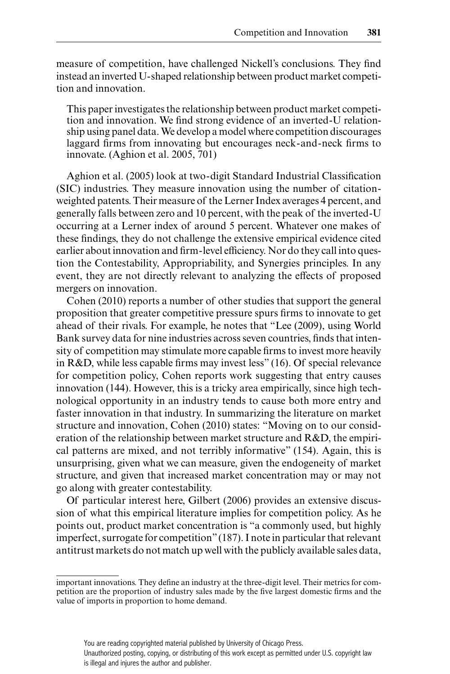measure of competition, have challenged Nickell's conclusions. They find instead an inverted U- shaped relationship between product market competition and innovation.

This paper investigates the relationship between product market competition and innovation. We find strong evidence of an inverted-U relationship using panel data. We develop a model where competition discourages laggard firms from innovating but encourages neck-and-neck firms to innovate. (Aghion et al. 2005, 701)

Aghion et al. (2005) look at two-digit Standard Industrial Classification (SIC) industries. They measure innovation using the number of citation weighted patents. Their measure of the Lerner Index averages 4 percent, and generally falls between zero and 10 percent, with the peak of the inverted- U occurring at a Lerner index of around 5 percent. Whatever one makes of these findings, they do not challenge the extensive empirical evidence cited earlier about innovation and firm-level efficiency. Nor do they call into question the Contestability, Appropriability, and Synergies principles. In any event, they are not directly relevant to analyzing the effects of proposed mergers on innovation.

Cohen (2010) reports a number of other studies that support the general proposition that greater competitive pressure spurs firms to innovate to get ahead of their rivals. For example, he notes that "Lee (2009), using World Bank survey data for nine industries across seven countries, finds that intensity of competition may stimulate more capable firms to invest more heavily in R&D, while less capable firms may invest less" (16). Of special relevance for competition policy, Cohen reports work suggesting that entry causes innovation (144). However, this is a tricky area empirically, since high technological opportunity in an industry tends to cause both more entry and faster innovation in that industry. In summarizing the literature on market structure and innovation, Cohen (2010) states: "Moving on to our consideration of the relationship between market structure and R&D, the empirical patterns are mixed, and not terribly informative" (154). Again, this is unsurprising, given what we can measure, given the endogeneity of market structure, and given that increased market concentration may or may not go along with greater contestability.

Of particular interest here, Gilbert (2006) provides an extensive discussion of what this empirical literature implies for competition policy. As he points out, product market concentration is "a commonly used, but highly imperfect, surrogate for competition" (187). I note in particular that relevant antitrust markets do not match up well with the publicly available sales data,

important innovations. They define an industry at the three-digit level. Their metrics for competition are the proportion of industry sales made by the five largest domestic firms and the value of imports in proportion to home demand.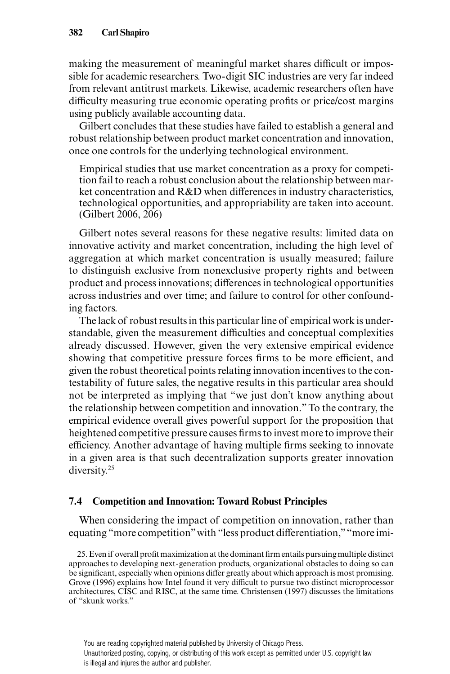making the measurement of meaningful market shares difficult or impossible for academic researchers. Two- digit SIC industries are very far indeed from relevant antitrust markets. Likewise, academic researchers often have difficulty measuring true economic operating profits or price/cost margins using publicly available accounting data.

Gilbert concludes that these studies have failed to establish a general and robust relationship between product market concentration and innovation, once one controls for the underlying technological environment.

Empirical studies that use market concentration as a proxy for competition fail to reach a robust conclusion about the relationship between market concentration and R&D when differences in industry characteristics, technological opportunities, and appropriability are taken into account. (Gilbert 2006, 206)

Gilbert notes several reasons for these negative results: limited data on innovative activity and market concentration, including the high level of aggregation at which market concentration is usually measured; failure to distinguish exclusive from nonexclusive property rights and between product and process innovations; differences in technological opportunities across industries and over time; and failure to control for other confounding factors.

The lack of robust results in this particular line of empirical work is understandable, given the measurement difficulties and conceptual complexities already discussed. However, given the very extensive empirical evidence showing that competitive pressure forces firms to be more efficient, and given the robust theoretical points relating innovation incentives to the contestability of future sales, the negative results in this particular area should not be interpreted as implying that "we just don't know anything about the relationship between competition and innovation." To the contrary, the empirical evidence overall gives powerful support for the proposition that heightened competitive pressure causes firms to invest more to improve their efficiency. Another advantage of having multiple firms seeking to innovate in a given area is that such decentralization supports greater innovation diversity.<sup>25</sup>

#### **7.4 Competition and Innovation: Toward Robust Principles**

When considering the impact of competition on innovation, rather than equating "more competition" with "less product differentiation," "more imi-

25. Even if overall profit maximization at the dominant firm entails pursuing multiple distinct approaches to developing next- generation products, organizational obstacles to doing so can be significant, especially when opinions differ greatly about which approach is most promising. Grove (1996) explains how Intel found it very difficult to pursue two distinct microprocessor architectures, CISC and RISC, at the same time. Christensen (1997) discusses the limitations of "skunk works."

 You are reading copyrighted material published by University of Chicago Press. Unauthorized posting, copying, or distributing of this work except as permitted under U.S. copyright law is illegal and injures the author and publisher.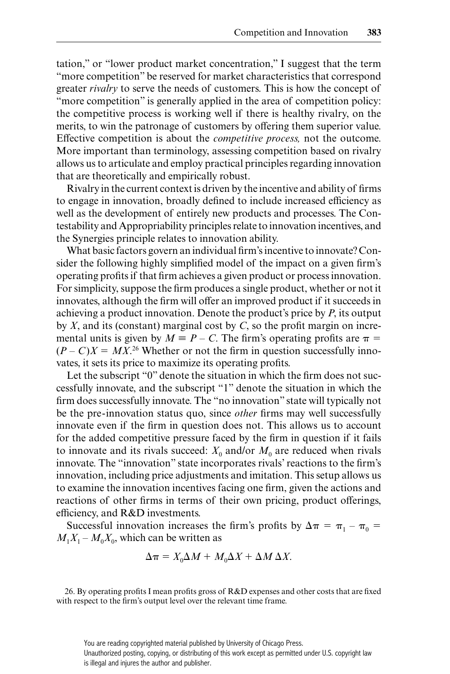tation," or "lower product market concentration," I suggest that the term "more competition" be reserved for market characteristics that correspond greater *rivalry* to serve the needs of customers. This is how the concept of "more competition" is generally applied in the area of competition policy: the competitive process is working well if there is healthy rivalry, on the merits, to win the patronage of customers by offering them superior value. Effective competition is about the *competitive process,* not the outcome. More important than terminology, assessing competition based on rivalry allows us to articulate and employ practical principles regarding innovation that are theoretically and empirically robust.

Rivalry in the current context is driven by the incentive and ability of firms to engage in innovation, broadly defined to include increased efficiency as well as the development of entirely new products and processes. The Contestability and Appropriability principles relate to innovation incentives, and the Synergies principle relates to innovation ability.

What basic factors govern an individual firm's incentive to innovate? Consider the following highly simplified model of the impact on a given firm's operating profits if that firm achieves a given product or process innovation. For simplicity, suppose the firm produces a single product, whether or not it innovates, although the firm will offer an improved product if it succeeds in achieving a product innovation. Denote the product's price by *P*, its output by  $X$ , and its (constant) marginal cost by  $C$ , so the profit margin on incremental units is given by  $M \equiv P - C$ . The firm's operating profits are  $\pi =$  $(P - C)X = MX$ <sup>26</sup> Whether or not the firm in question successfully innovates, it sets its price to maximize its operating profits.

Let the subscript "0" denote the situation in which the firm does not successfully innovate, and the subscript "1" denote the situation in which the firm does successfully innovate. The "no innovation" state will typically not be the pre-innovation status quo, since *other* firms may well successfully innovate even if the firm in question does not. This allows us to account for the added competitive pressure faced by the firm in question if it fails to innovate and its rivals succeed:  $X_0$  and/or  $M_0$  are reduced when rivals innovate. The "innovation" state incorporates rivals' reactions to the firm's innovation, including price adjustments and imitation. This setup allows us to examine the innovation incentives facing one firm, given the actions and reactions of other firms in terms of their own pricing, product offerings, efficiency, and R&D investments.

Successful innovation increases the firm's profits by  $\Delta \pi = \pi_1 - \pi_0 =$  $M_1X_1 - M_0X_0$ , which can be written as

$$
\Delta \pi = X_0 \Delta M + M_0 \Delta X + \Delta M \Delta X.
$$

26. By operating profits I mean profits gross of  $R&D$  expenses and other costs that are fixed with respect to the firm's output level over the relevant time frame.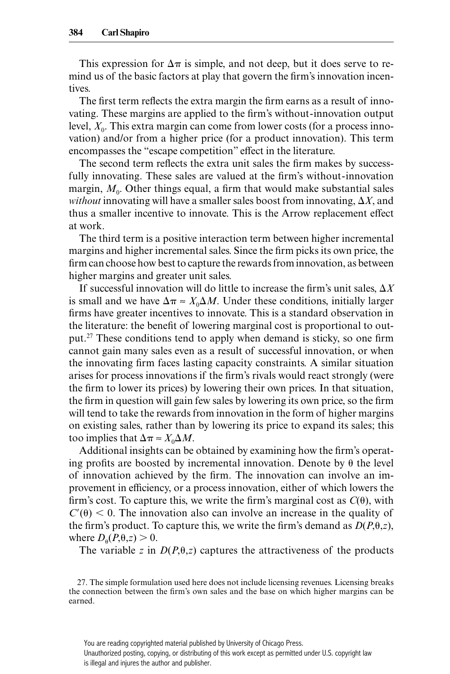This expression for  $\Delta \pi$  is simple, and not deep, but it does serve to remind us of the basic factors at play that govern the firm's innovation incentives.

The first term reflects the extra margin the firm earns as a result of innovating. These margins are applied to the firm's without-innovation output level,  $X_0$ . This extra margin can come from lower costs (for a process innovation) and/or from a higher price (for a product innovation). This term encompasses the "escape competition" effect in the literature.

The second term reflects the extra unit sales the firm makes by successfully innovating. These sales are valued at the firm's without-innovation margin,  $M<sub>0</sub>$ . Other things equal, a firm that would make substantial sales *without* innovating will have a smaller sales boost from innovating,  $\Delta X$ , and thus a smaller incentive to innovate. This is the Arrow replacement effect at work.

The third term is a positive interaction term between higher incremental margins and higher incremental sales. Since the firm picks its own price, the firm can choose how best to capture the rewards from innovation, as between higher margins and greater unit sales.

If successful innovation will do little to increase the firm's unit sales,  $\Delta X$ is small and we have  $\Delta \pi \approx X_0 \Delta M$ . Under these conditions, initially larger firms have greater incentives to innovate. This is a standard observation in the literature: the benefit of lowering marginal cost is proportional to output.<sup>27</sup> These conditions tend to apply when demand is sticky, so one firm cannot gain many sales even as a result of successful innovation, or when the innovating firm faces lasting capacity constraints. A similar situation arises for process innovations if the firm's rivals would react strongly (were the firm to lower its prices) by lowering their own prices. In that situation, the firm in question will gain few sales by lowering its own price, so the firm will tend to take the rewards from innovation in the form of higher margins on existing sales, rather than by lowering its price to expand its sales; this too implies that  $\Delta \pi \approx X_0 \Delta M$ .

Additional insights can be obtained by examining how the firm's operating profits are boosted by incremental innovation. Denote by  $\theta$  the level of innovation achieved by the firm. The innovation can involve an improvement in efficiency, or a process innovation, either of which lowers the firm's cost. To capture this, we write the firm's marginal cost as  $C(\theta)$ , with  $C'(\theta)$  < 0. The innovation also can involve an increase in the quality of the firm's product. To capture this, we write the firm's demand as  $D(P, \theta, z)$ , where  $D_{\theta}(P,\theta,z) > 0$ .

The variable *z* in  $D(P, \theta, z)$  captures the attractiveness of the products

<sup>27.</sup> The simple formulation used here does not include licensing revenues. Licensing breaks the connection between the firm's own sales and the base on which higher margins can be earned.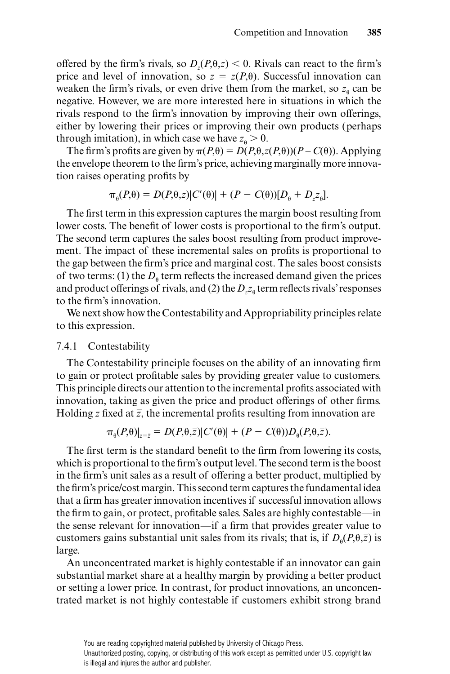offered by the firm's rivals, so  $D_z(P, \theta, z) < 0$ . Rivals can react to the firm's price and level of innovation, so  $z = z(P, \theta)$ . Successful innovation can weaken the firm's rivals, or even drive them from the market, so  $z<sub>a</sub>$  can be negative. However, we are more interested here in situations in which the rivals respond to the firm's innovation by improving their own offerings, either by lowering their prices or improving their own products (perhaps through imitation), in which case we have  $z_{\rm a} > 0$ .

The firm's profits are given by  $\pi(P, \theta) = D(P, \theta, z(P, \theta))(P - C(\theta))$ . Applying the envelope theorem to the firm's price, achieving marginally more innovation raises operating profits by

$$
\pi_{\theta}(P,\theta) = D(P,\theta,z)|C'(\theta)| + (P - C(\theta))[D_{\theta} + D_z z_{\theta}].
$$

The first term in this expression captures the margin boost resulting from lower costs. The benefit of lower costs is proportional to the firm's output. The second term captures the sales boost resulting from product improvement. The impact of these incremental sales on profits is proportional to the gap between the firm's price and marginal cost. The sales boost consists of two terms: (1) the  $D_{\theta}$  term reflects the increased demand given the prices and product offerings of rivals, and (2) the  $D_{z_0}$  term reflects rivals' responses to the firm's innovation.

We next show how the Contestability and Appropriability principles relate to this expression.

#### 7.4.1 Contestability

The Contestability principle focuses on the ability of an innovating firm to gain or protect profitable sales by providing greater value to customers. This principle directs our attention to the incremental profits associated with innovation, taking as given the price and product offerings of other firms. Holding  $z$  fixed at  $\overline{z}$ , the incremental profits resulting from innovation are

$$
\pi_{\theta}(P,\theta)|_{z=\bar{z}}=D(P,\theta,\bar{z})|C'(\theta)|+(P-C(\theta))D_{\theta}(P,\theta,\bar{z}).
$$

The first term is the standard benefit to the firm from lowering its costs, which is proportional to the firm's output level. The second term is the boost in the firm's unit sales as a result of offering a better product, multiplied by the firm's price/cost margin. This second term captures the fundamental idea that a firm has greater innovation incentives if successful innovation allows the firm to gain, or protect, profitable sales. Sales are highly contestable—in the sense relevant for innovation—if a firm that provides greater value to customers gains substantial unit sales from its rivals; that is, if  $D_{\theta}(P, \theta, \bar{z})$  is large.

An unconcentrated market is highly contestable if an innovator can gain substantial market share at a healthy margin by providing a better product or setting a lower price. In contrast, for product innovations, an unconcentrated market is not highly contestable if customers exhibit strong brand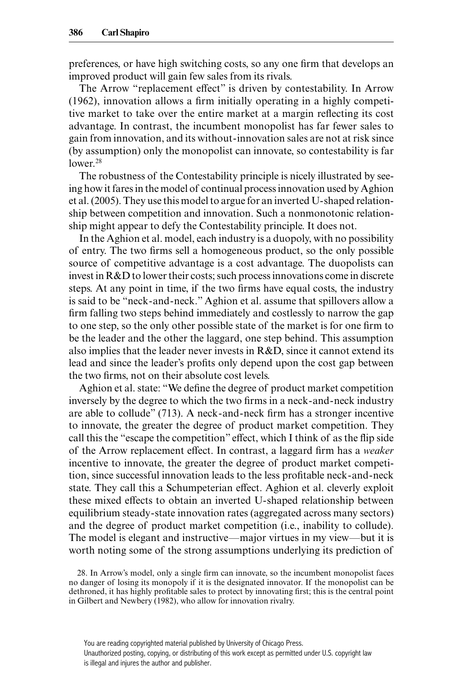preferences, or have high switching costs, so any one firm that develops an improved product will gain few sales from its rivals.

The Arrow "replacement effect" is driven by contestability. In Arrow  $(1962)$ , innovation allows a firm initially operating in a highly competitive market to take over the entire market at a margin reflecting its cost advantage. In contrast, the incumbent monopolist has far fewer sales to gain from innovation, and its without- innovation sales are not at risk since (by assumption) only the monopolist can innovate, so contestability is far lower.<sup>28</sup>

The robustness of the Contestability principle is nicely illustrated by seeing how it fares in the model of continual process innovation used by Aghion et al. (2005). They use this model to argue for an inverted U- shaped relationship between competition and innovation. Such a nonmonotonic relationship might appear to defy the Contestability principle. It does not.

In the Aghion et al. model, each industry is a duopoly, with no possibility of entry. The two firms sell a homogeneous product, so the only possible source of competitive advantage is a cost advantage. The duopolists can invest in R&D to lower their costs; such process innovations come in discrete steps. At any point in time, if the two firms have equal costs, the industry is said to be "neck-and-neck." Aghion et al. assume that spillovers allow a firm falling two steps behind immediately and costlessly to narrow the gap to one step, so the only other possible state of the market is for one firm to be the leader and the other the laggard, one step behind. This assumption also implies that the leader never invests in R&D, since it cannot extend its lead and since the leader's profits only depend upon the cost gap between the two firms, not on their absolute cost levels.

Aghion et al. state: "We define the degree of product market competition inversely by the degree to which the two firms in a neck- and-neck industry are able to collude" (713). A neck-and-neck firm has a stronger incentive to innovate, the greater the degree of product market competition. They call this the "escape the competition" effect, which I think of as the flip side of the Arrow replacement effect. In contrast, a laggard firm has a *weaker* incentive to innovate, the greater the degree of product market competition, since successful innovation leads to the less profitable neck-and-neck state. They call this a Schumpeterian effect. Aghion et al. cleverly exploit these mixed effects to obtain an inverted U- shaped relationship between equilibrium steady- state innovation rates (aggregated across many sectors) and the degree of product market competition (i.e., inability to collude). The model is elegant and instructive—major virtues in my view—but it is worth noting some of the strong assumptions underlying its prediction of

28. In Arrow's model, only a single firm can innovate, so the incumbent monopolist faces no danger of losing its monopoly if it is the designated innovator. If the monopolist can be dethroned, it has highly profitable sales to protect by innovating first; this is the central point in Gilbert and Newbery (1982), who allow for innovation rivalry.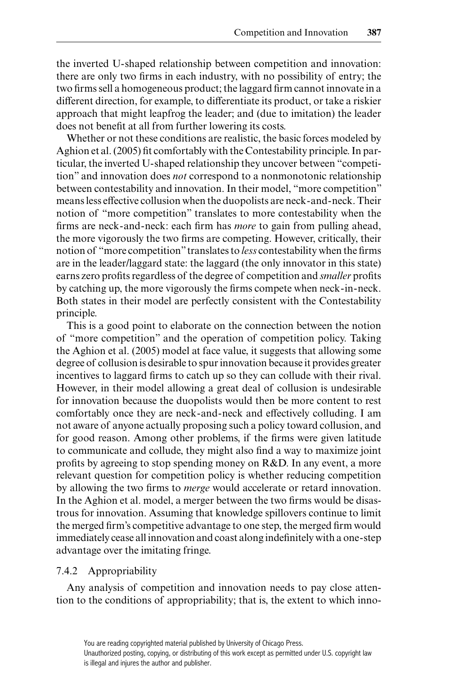the inverted U- shaped relationship between competition and innovation: there are only two firms in each industry, with no possibility of entry; the two firms sell a homogeneous product; the laggard firm cannot innovate in a different direction, for example, to differentiate its product, or take a riskier approach that might leapfrog the leader; and (due to imitation) the leader does not benefit at all from further lowering its costs.

Whether or not these conditions are realistic, the basic forces modeled by Aghion et al. (2005) fit comfortably with the Contestability principle. In particular, the inverted U- shaped relationship they uncover between "competition" and innovation does *not* correspond to a nonmonotonic relationship between contestability and innovation. In their model, "more competition" means less effective collusion when the duopolists are neck- and- neck. Their notion of "more competition" translates to more contestability when the firms are neck-and-neck: each firm has *more* to gain from pulling ahead, the more vigorously the two firms are competing. However, critically, their notion of "more competition" translates to *less* contestability when the firms are in the leader/laggard state: the laggard (the only innovator in this state) earns zero profits regardless of the degree of competition and *smaller* profits by catching up, the more vigorously the firms compete when neck-in-neck. Both states in their model are perfectly consistent with the Contestability principle.

This is a good point to elaborate on the connection between the notion of "more competition" and the operation of competition policy. Taking the Aghion et al. (2005) model at face value, it suggests that allowing some degree of collusion is desirable to spur innovation because it provides greater incentives to laggard firms to catch up so they can collude with their rival. However, in their model allowing a great deal of collusion is undesirable for innovation because the duopolists would then be more content to rest comfortably once they are neck- and- neck and effectively colluding. I am not aware of anyone actually proposing such a policy toward collusion, and for good reason. Among other problems, if the firms were given latitude to communicate and collude, they might also find a way to maximize joint profits by agreeing to stop spending money on  $R&D$ . In any event, a more relevant question for competition policy is whether reducing competition by allowing the two firms to *merge* would accelerate or retard innovation. In the Aghion et al. model, a merger between the two firms would be disastrous for innovation. Assuming that knowledge spillovers continue to limit the merged firm's competitive advantage to one step, the merged firm would immediately cease all innovation and coast along indefinitely with a one-step advantage over the imitating fringe.

#### 7.4.2 Appropriability

Any analysis of competition and innovation needs to pay close attention to the conditions of appropriability; that is, the extent to which inno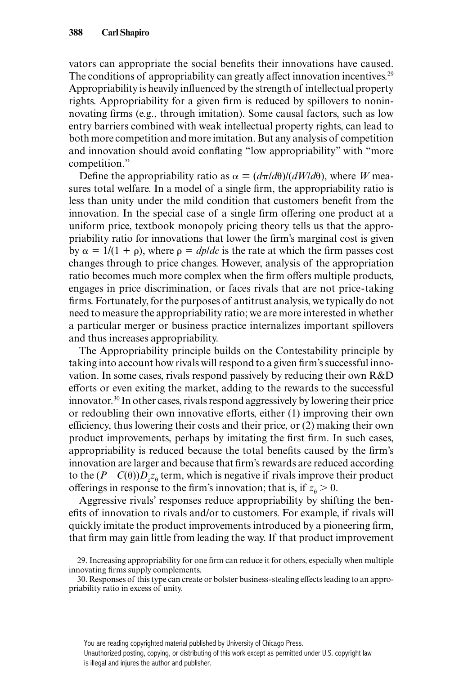vators can appropriate the social benefits their innovations have caused. The conditions of appropriability can greatly affect innovation incentives.<sup>29</sup> Appropriability is heavily influenced by the strength of intellectual property rights. Appropriability for a given firm is reduced by spillovers to noninnovating firms (e.g., through imitation). Some causal factors, such as low entry barriers combined with weak intellectual property rights, can lead to both more competition and more imitation. But any analysis of competition and innovation should avoid conflating "low appropriability" with "more competition."

Define the appropriability ratio as  $\alpha = (d\pi/d\theta)/(dW/d\theta)$ , where *W* measures total welfare. In a model of a single firm, the appropriability ratio is less than unity under the mild condition that customers benefit from the innovation. In the special case of a single firm offering one product at a uniform price, textbook monopoly pricing theory tells us that the appropriability ratio for innovations that lower the firm's marginal cost is given by  $\alpha = 1/(1 + \rho)$ , where  $\rho = dp/dc$  is the rate at which the firm passes cost changes through to price changes. However, analysis of the appropriation ratio becomes much more complex when the firm offers multiple products, engages in price discrimination, or faces rivals that are not price- taking firms. Fortunately, for the purposes of antitrust analysis, we typically do not need to measure the appropriability ratio; we are more interested in whether a particular merger or business practice internalizes important spillovers and thus increases appropriability.

The Appropriability principle builds on the Contestability principle by taking into account how rivals will respond to a given firm's successful innovation. In some cases, rivals respond passively by reducing their own R&D efforts or even exiting the market, adding to the rewards to the successful innovator.30 In other cases, rivals respond aggressively by lowering their price or redoubling their own innovative efforts, either (1) improving their own efficiency, thus lowering their costs and their price, or (2) making their own product improvements, perhaps by imitating the first firm. In such cases, appropriability is reduced because the total benefits caused by the firm's innovation are larger and because that firm's rewards are reduced according to the  $(P - C(\theta))D_{z_0}$  term, which is negative if rivals improve their product offerings in response to the firm's innovation; that is, if  $z_a > 0$ .

Aggressive rivals' responses reduce appropriability by shifting the benefits of innovation to rivals and/or to customers. For example, if rivals will quickly imitate the product improvements introduced by a pioneering firm, that firm may gain little from leading the way. If that product improvement

<sup>29.</sup> Increasing appropriability for one firm can reduce it for others, especially when multiple innovating firms supply complements.

<sup>30.</sup> Responses of this type can create or bolster business- stealing effects leading to an appropriability ratio in excess of unity.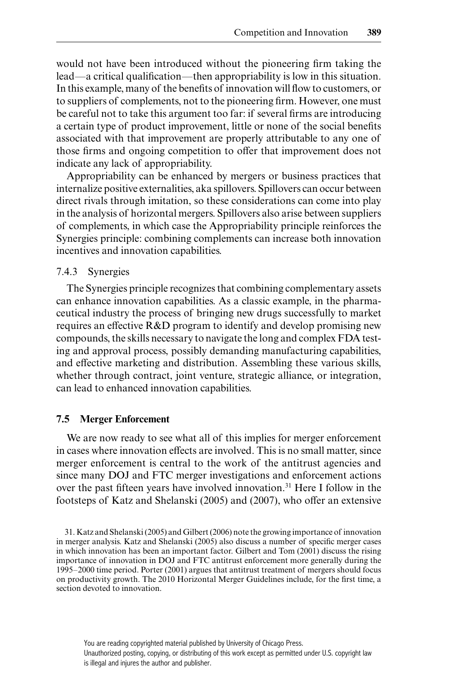would not have been introduced without the pioneering firm taking the lead—a critical qualification—then appropriability is low in this situation. In this example, many of the benefits of innovation will flow to customers, or to suppliers of complements, not to the pioneering firm. However, one must be careful not to take this argument too far: if several firms are introducing a certain type of product improvement, little or none of the social benefits associated with that improvement are properly attributable to any one of those firms and ongoing competition to offer that improvement does not indicate any lack of appropriability.

Appropriability can be enhanced by mergers or business practices that internalize positive externalities, aka spillovers. Spillovers can occur between direct rivals through imitation, so these considerations can come into play in the analysis of horizontal mergers. Spillovers also arise between suppliers of complements, in which case the Appropriability principle reinforces the Synergies principle: combining complements can increase both innovation incentives and innovation capabilities.

#### 7.4.3 Synergies

The Synergies principle recognizes that combining complementary assets can enhance innovation capabilities. As a classic example, in the pharmaceutical industry the process of bringing new drugs successfully to market requires an effective R&D program to identify and develop promising new compounds, the skills necessary to navigate the long and complex FDA testing and approval process, possibly demanding manufacturing capabilities, and effective marketing and distribution. Assembling these various skills, whether through contract, joint venture, strategic alliance, or integration, can lead to enhanced innovation capabilities.

#### **7.5 Merger Enforcement**

We are now ready to see what all of this implies for merger enforcement in cases where innovation effects are involved. This is no small matter, since merger enforcement is central to the work of the antitrust agencies and since many DOJ and FTC merger investigations and enforcement actions over the past fifteen years have involved innovation.<sup>31</sup> Here I follow in the footsteps of Katz and Shelanski (2005) and (2007), who offer an extensive

<sup>31.</sup> Katz and Shelanski (2005) and Gilbert (2006) note the growing importance of innovation in merger analysis. Katz and Shelanski (2005) also discuss a number of specific merger cases in which innovation has been an important factor. Gilbert and Tom (2001) discuss the rising importance of innovation in DOJ and FTC antitrust enforcement more generally during the 1995– 2000 time period. Porter (2001) argues that antitrust treatment of mergers should focus on productivity growth. The 2010 Horizontal Merger Guidelines include, for the first time, a section devoted to innovation.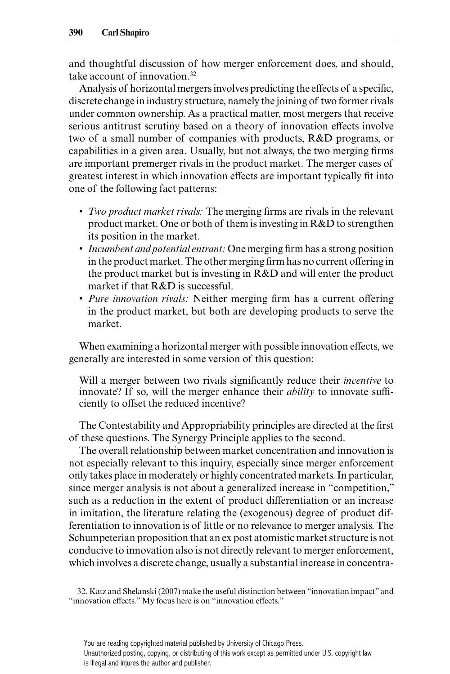and thoughtful discussion of how merger enforcement does, and should, take account of innovation.<sup>32</sup>

Analysis of horizontal mergers involves predicting the effects of a specific, discrete change in industry structure, namely the joining of two former rivals under common ownership. As a practical matter, most mergers that receive serious antitrust scrutiny based on a theory of innovation effects involve two of a small number of companies with products, R&D programs, or capabilities in a given area. Usually, but not always, the two merging firms are important premerger rivals in the product market. The merger cases of greatest interest in which innovation effects are important typically fi t into one of the following fact patterns:

- *Two product market rivals:* The merging firms are rivals in the relevant product market. One or both of them is investing in R&D to strengthen its position in the market.
- *Incumbent and potential entrant:* One merging firm has a strong position in the product market. The other merging firm has no current offering in the product market but is investing in R&D and will enter the product market if that R&D is successful.
- *Pure innovation rivals:* Neither merging firm has a current offering in the product market, but both are developing products to serve the market.

When examining a horizontal merger with possible innovation effects, we generally are interested in some version of this question:

Will a merger between two rivals significantly reduce their *incentive* to innovate? If so, will the merger enhance their *ability* to innovate sufficiently to offset the reduced incentive?

The Contestability and Appropriability principles are directed at the first of these questions. The Synergy Principle applies to the second.

The overall relationship between market concentration and innovation is not especially relevant to this inquiry, especially since merger enforcement only takes place in moderately or highly concentrated markets. In particular, since merger analysis is not about a generalized increase in "competition," such as a reduction in the extent of product differentiation or an increase in imitation, the literature relating the (exogenous) degree of product differentiation to innovation is of little or no relevance to merger analysis. The Schumpeterian proposition that an ex post atomistic market structure is not conducive to innovation also is not directly relevant to merger enforcement, which involves a discrete change, usually a substantial increase in concentra-

<sup>32.</sup> Katz and Shelanski (2007) make the useful distinction between "innovation impact" and "innovation effects." My focus here is on "innovation effects."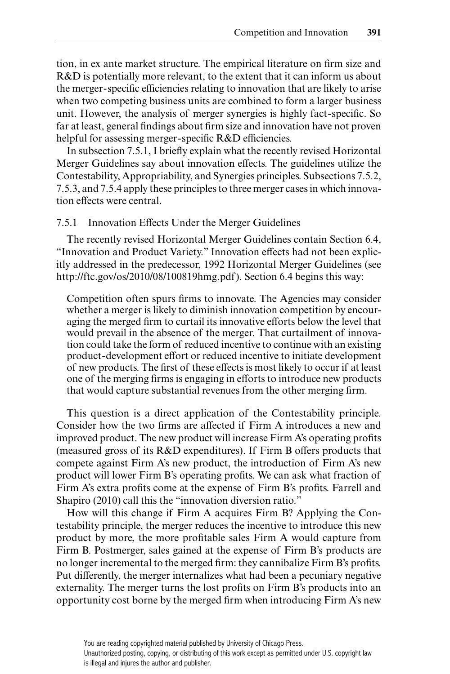tion, in ex ante market structure. The empirical literature on firm size and R&D is potentially more relevant, to the extent that it can inform us about the merger-specific efficiencies relating to innovation that are likely to arise when two competing business units are combined to form a larger business unit. However, the analysis of merger synergies is highly fact-specific. So far at least, general findings about firm size and innovation have not proven helpful for assessing merger-specific  $R&D$  efficiencies.

In subsection 7.5.1, I briefly explain what the recently revised Horizontal Merger Guidelines say about innovation effects. The guidelines utilize the Contestability, Appropriability, and Synergies principles. Subsections 7.5.2, 7.5.3, and 7.5.4 apply these principles to three merger cases in which innovation effects were central.

#### 7.5.1 Innovation Effects Under the Merger Guidelines

The recently revised Horizontal Merger Guidelines contain Section 6.4, "Innovation and Product Variety." Innovation effects had not been explicitly addressed in the predecessor, 1992 Horizontal Merger Guidelines (see http://ftc.gov/os/2010/08/100819hmg.pdf). Section 6.4 begins this way:

Competition often spurs firms to innovate. The Agencies may consider whether a merger is likely to diminish innovation competition by encouraging the merged firm to curtail its innovative efforts below the level that would prevail in the absence of the merger. That curtailment of innovation could take the form of reduced incentive to continue with an existing product- development effort or reduced incentive to initiate development of new products. The first of these effects is most likely to occur if at least one of the merging firms is engaging in efforts to introduce new products that would capture substantial revenues from the other merging firm.

This question is a direct application of the Contestability principle. Consider how the two firms are affected if Firm A introduces a new and improved product. The new product will increase Firm A's operating profits (measured gross of its R&D expenditures). If Firm B offers products that compete against Firm A's new product, the introduction of Firm A's new product will lower Firm B's operating profits. We can ask what fraction of Firm A's extra profits come at the expense of Firm B's profits. Farrell and Shapiro (2010) call this the "innovation diversion ratio."

How will this change if Firm A acquires Firm B? Applying the Contestability principle, the merger reduces the incentive to introduce this new product by more, the more profitable sales Firm A would capture from Firm B. Postmerger, sales gained at the expense of Firm B's products are no longer incremental to the merged firm: they cannibalize Firm B's profits. Put differently, the merger internalizes what had been a pecuniary negative externality. The merger turns the lost profits on Firm B's products into an opportunity cost borne by the merged firm when introducing Firm A's new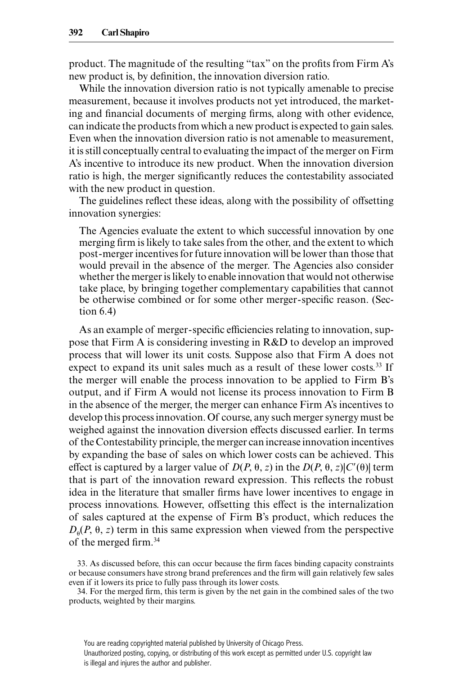product. The magnitude of the resulting "tax" on the profits from Firm A's new product is, by definition, the innovation diversion ratio.

While the innovation diversion ratio is not typically amenable to precise measurement, because it involves products not yet introduced, the marketing and financial documents of merging firms, along with other evidence, can indicate the products from which a new product is expected to gain sales. Even when the innovation diversion ratio is not amenable to measurement, it is still conceptually central to evaluating the impact of the merger on Firm A's incentive to introduce its new product. When the innovation diversion ratio is high, the merger significantly reduces the contestability associated with the new product in question.

The guidelines reflect these ideas, along with the possibility of offsetting innovation synergies:

The Agencies evaluate the extent to which successful innovation by one merging firm is likely to take sales from the other, and the extent to which post- merger incentives for future innovation will be lower than those that would prevail in the absence of the merger. The Agencies also consider whether the merger is likely to enable innovation that would not otherwise take place, by bringing together complementary capabilities that cannot be otherwise combined or for some other merger-specific reason. (Section 6.4)

As an example of merger-specific efficiencies relating to innovation, suppose that Firm A is considering investing in R&D to develop an improved process that will lower its unit costs. Suppose also that Firm A does not expect to expand its unit sales much as a result of these lower costs.<sup>33</sup> If the merger will enable the process innovation to be applied to Firm B's output, and if Firm A would not license its process innovation to Firm B in the absence of the merger, the merger can enhance Firm A's incentives to develop this process innovation. Of course, any such merger synergy must be weighed against the innovation diversion effects discussed earlier. In terms of the Contestability principle, the merger can increase innovation incentives by expanding the base of sales on which lower costs can be achieved. This effect is captured by a larger value of  $D(P, \theta, z)$  in the  $D(P, \theta, z)|C'(\theta)|$  term that is part of the innovation reward expression. This reflects the robust idea in the literature that smaller firms have lower incentives to engage in process innovations. However, offsetting this effect is the internalization of sales captured at the expense of Firm B's product, which reduces the  $D_{\alpha}(P, \theta, z)$  term in this same expression when viewed from the perspective of the merged firm. $34$ 

33. As discussed before, this can occur because the firm faces binding capacity constraints or because consumers have strong brand preferences and the firm will gain relatively few sales even if it lowers its price to fully pass through its lower costs.

34. For the merged firm, this term is given by the net gain in the combined sales of the two products, weighted by their margins.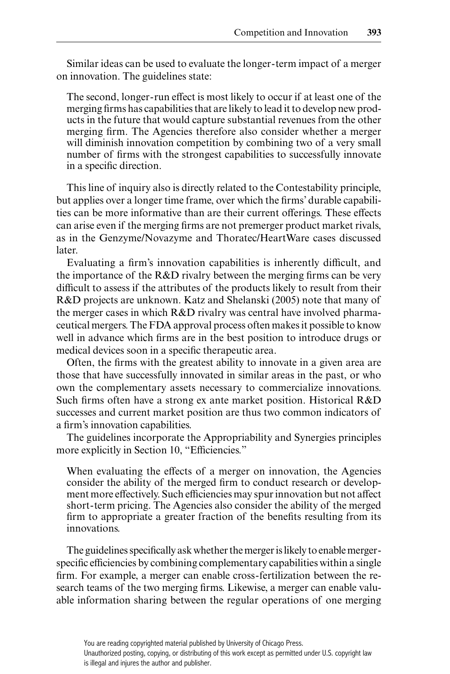Similar ideas can be used to evaluate the longer- term impact of a merger on innovation. The guidelines state:

The second, longer-run effect is most likely to occur if at least one of the merging firms has capabilities that are likely to lead it to develop new products in the future that would capture substantial revenues from the other merging firm. The Agencies therefore also consider whether a merger will diminish innovation competition by combining two of a very small number of firms with the strongest capabilities to successfully innovate in a specific direction.

This line of inquiry also is directly related to the Contestability principle, but applies over a longer time frame, over which the firms' durable capabilities can be more informative than are their current offerings. These effects can arise even if the merging firms are not premerger product market rivals, as in the Genzyme/ Novazyme and Thoratec/ HeartWare cases discussed later.

Evaluating a firm's innovation capabilities is inherently difficult, and the importance of the  $R&D$  rivalry between the merging firms can be very difficult to assess if the attributes of the products likely to result from their R&D projects are unknown. Katz and Shelanski (2005) note that many of the merger cases in which R&D rivalry was central have involved pharmaceutical mergers. The FDA approval process often makes it possible to know well in advance which firms are in the best position to introduce drugs or medical devices soon in a specific therapeutic area.

Often, the firms with the greatest ability to innovate in a given area are those that have successfully innovated in similar areas in the past, or who own the complementary assets necessary to commercialize innovations. Such firms often have a strong ex ante market position. Historical R&D successes and current market position are thus two common indicators of a firm's innovation capabilities.

The guidelines incorporate the Appropriability and Synergies principles more explicitly in Section 10, "Efficiencies."

When evaluating the effects of a merger on innovation, the Agencies consider the ability of the merged firm to conduct research or development more effectively. Such efficiencies may spur innovation but not affect short- term pricing. The Agencies also consider the ability of the merged firm to appropriate a greater fraction of the benefits resulting from its innovations.

The guidelines specifically ask whether the merger is likely to enable mergerspecific efficiencies by combining complementary capabilities within a single firm. For example, a merger can enable cross-fertilization between the research teams of the two merging firms. Likewise, a merger can enable valuable information sharing between the regular operations of one merging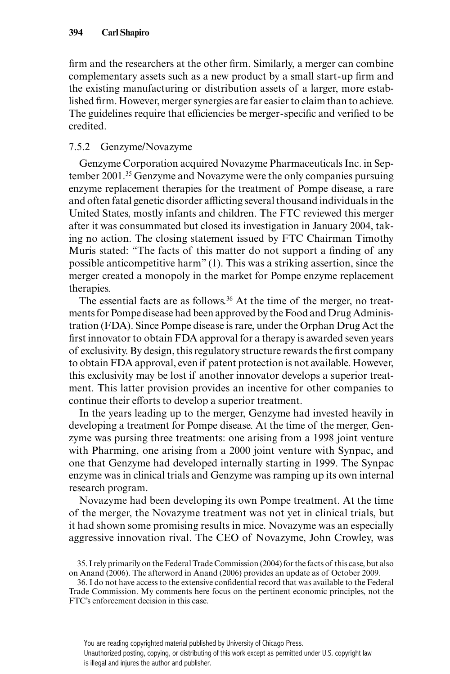firm and the researchers at the other firm. Similarly, a merger can combine complementary assets such as a new product by a small start-up firm and the existing manufacturing or distribution assets of a larger, more established firm. However, merger synergies are far easier to claim than to achieve. The guidelines require that efficiencies be merger-specific and verified to be credited.

#### 7.5.2 Genzyme/Novazyme

Genzyme Corporation acquired Novazyme Pharmaceuticals Inc. in September 2001.35 Genzyme and Novazyme were the only companies pursuing enzyme replacement therapies for the treatment of Pompe disease, a rare and often fatal genetic disorder afflicting several thousand individuals in the United States, mostly infants and children. The FTC reviewed this merger after it was consummated but closed its investigation in January 2004, taking no action. The closing statement issued by FTC Chairman Timothy Muris stated: "The facts of this matter do not support a finding of any possible anticompetitive harm" (1). This was a striking assertion, since the merger created a monopoly in the market for Pompe enzyme replacement therapies.

The essential facts are as follows.<sup>36</sup> At the time of the merger, no treatments for Pompe disease had been approved by the Food and Drug Administration (FDA). Since Pompe disease is rare, under the Orphan Drug Act the first innovator to obtain FDA approval for a therapy is awarded seven years of exclusivity. By design, this regulatory structure rewards the first company to obtain FDA approval, even if patent protection is not available. However, this exclusivity may be lost if another innovator develops a superior treatment. This latter provision provides an incentive for other companies to continue their efforts to develop a superior treatment.

In the years leading up to the merger, Genzyme had invested heavily in developing a treatment for Pompe disease. At the time of the merger, Genzyme was pursing three treatments: one arising from a 1998 joint venture with Pharming, one arising from a 2000 joint venture with Synpac, and one that Genzyme had developed internally starting in 1999. The Synpac enzyme was in clinical trials and Genzyme was ramping up its own internal research program.

Novazyme had been developing its own Pompe treatment. At the time of the merger, the Novazyme treatment was not yet in clinical trials, but it had shown some promising results in mice. Novazyme was an especially aggressive innovation rival. The CEO of Novazyme, John Crowley, was

<sup>35.</sup> I rely primarily on the Federal Trade Commission (2004) for the facts of this case, but also on Anand (2006). The afterword in Anand (2006) provides an update as of October 2009.

<sup>36.</sup> I do not have access to the extensive confidential record that was available to the Federal Trade Commission. My comments here focus on the pertinent economic principles, not the FTC's enforcement decision in this case.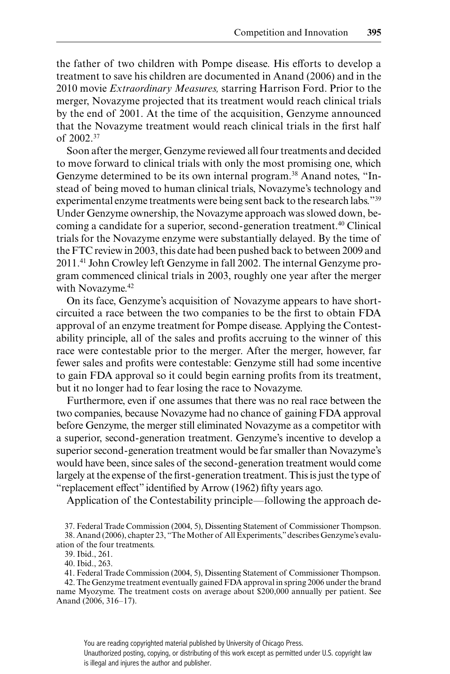the father of two children with Pompe disease. His efforts to develop a treatment to save his children are documented in Anand (2006) and in the 2010 movie *Extraordinary Measures,* starring Harrison Ford. Prior to the merger, Novazyme projected that its treatment would reach clinical trials by the end of 2001. At the time of the acquisition, Genzyme announced that the Novazyme treatment would reach clinical trials in the first half of 2002.37

Soon after the merger, Genzyme reviewed all four treatments and decided to move forward to clinical trials with only the most promising one, which Genzyme determined to be its own internal program.<sup>38</sup> Anand notes, "Instead of being moved to human clinical trials, Novazyme's technology and experimental enzyme treatments were being sent back to the research labs."<sup>39</sup> Under Genzyme ownership, the Novazyme approach was slowed down, becoming a candidate for a superior, second-generation treatment.<sup>40</sup> Clinical trials for the Novazyme enzyme were substantially delayed. By the time of the FTC review in 2003, this date had been pushed back to between 2009 and 2011.41 John Crowley left Genzyme in fall 2002. The internal Genzyme program commenced clinical trials in 2003, roughly one year after the merger with Novazyme.<sup>42</sup>

On its face, Genzyme's acquisition of Novazyme appears to have short circuited a race between the two companies to be the first to obtain FDA approval of an enzyme treatment for Pompe disease. Applying the Contestability principle, all of the sales and profits accruing to the winner of this race were contestable prior to the merger. After the merger, however, far fewer sales and profits were contestable: Genzyme still had some incentive to gain FDA approval so it could begin earning profits from its treatment, but it no longer had to fear losing the race to Novazyme.

Furthermore, even if one assumes that there was no real race between the two companies, because Novazyme had no chance of gaining FDA approval before Genzyme, the merger still eliminated Novazyme as a competitor with a superior, second- generation treatment. Genzyme's incentive to develop a superior second- generation treatment would be far smaller than Novazyme's would have been, since sales of the second- generation treatment would come largely at the expense of the first-generation treatment. This is just the type of "replacement effect" identified by Arrow (1962) fifty years ago.

Application of the Contestability principle—following the approach de-

37. Federal Trade Commission (2004, 5), Dissenting Statement of Commissioner Thompson. 38. Anand (2006), chapter 23, "The Mother of All Experiments," describes Genzyme's evaluation of the four treatments.

40. Ibid., 263.

41. Federal Trade Commission (2004, 5), Dissenting Statement of Commissioner Thompson.

42. The Genzyme treatment eventually gained FDA approval in spring 2006 under the brand name Myozyme. The treatment costs on average about \$200,000 annually per patient. See Anand (2006, 316-17).

You are reading copyrighted material published by University of Chicago Press.

 Unauthorized posting, copying, or distributing of this work except as permitted under U.S. copyright law is illegal and injures the author and publisher.

<sup>39.</sup> Ibid., 261.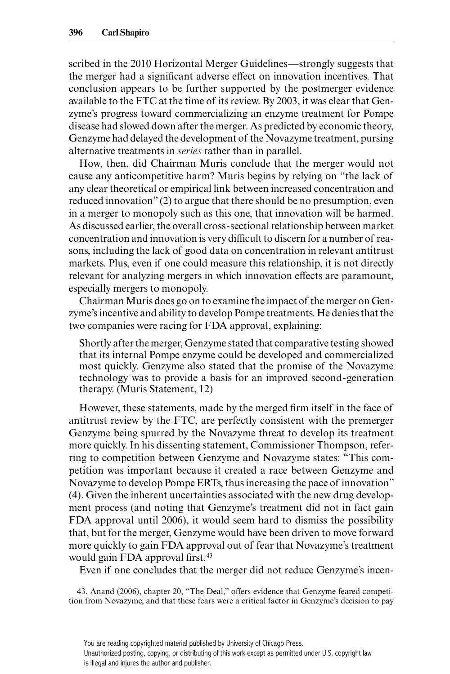scribed in the 2010 Horizontal Merger Guidelines—strongly suggests that the merger had a significant adverse effect on innovation incentives. That conclusion appears to be further supported by the postmerger evidence available to the FTC at the time of its review. By 2003, it was clear that Genzyme's progress toward commercializing an enzyme treatment for Pompe disease had slowed down after the merger. As predicted by economic theory, Genzyme had delayed the development of the Novazyme treatment, pursing alternative treatments in *series* rather than in parallel.

How, then, did Chairman Muris conclude that the merger would not cause any anticompetitive harm? Muris begins by relying on "the lack of any clear theoretical or empirical link between increased concentration and reduced innovation" (2) to argue that there should be no presumption, even in a merger to monopoly such as this one, that innovation will be harmed. As discussed earlier, the overall cross- sectional relationship between market concentration and innovation is very difficult to discern for a number of reasons, including the lack of good data on concentration in relevant antitrust markets. Plus, even if one could measure this relationship, it is not directly relevant for analyzing mergers in which innovation effects are paramount, especially mergers to monopoly.

Chairman Muris does go on to examine the impact of the merger on Genzyme's incentive and ability to develop Pompe treatments. He denies that the two companies were racing for FDA approval, explaining:

Shortly after the merger, Genzyme stated that comparative testing showed that its internal Pompe enzyme could be developed and commercialized most quickly. Genzyme also stated that the promise of the Novazyme technology was to provide a basis for an improved second- generation therapy. (Muris Statement, 12)

However, these statements, made by the merged firm itself in the face of antitrust review by the FTC, are perfectly consistent with the premerger Genzyme being spurred by the Novazyme threat to develop its treatment more quickly. In his dissenting statement, Commissioner Thompson, referring to competition between Genzyme and Novazyme states: "This competition was important because it created a race between Genzyme and Novazyme to develop Pompe ERTs, thus increasing the pace of innovation" (4). Given the inherent uncertainties associated with the new drug development process (and noting that Genzyme's treatment did not in fact gain FDA approval until 2006), it would seem hard to dismiss the possibility that, but for the merger, Genzyme would have been driven to move forward more quickly to gain FDA approval out of fear that Novazyme's treatment would gain FDA approval first.<sup>43</sup>

Even if one concludes that the merger did not reduce Genzyme's incen-

43. Anand (2006), chapter 20, "The Deal," offers evidence that Genzyme feared competition from Novazyme, and that these fears were a critical factor in Genzyme's decision to pay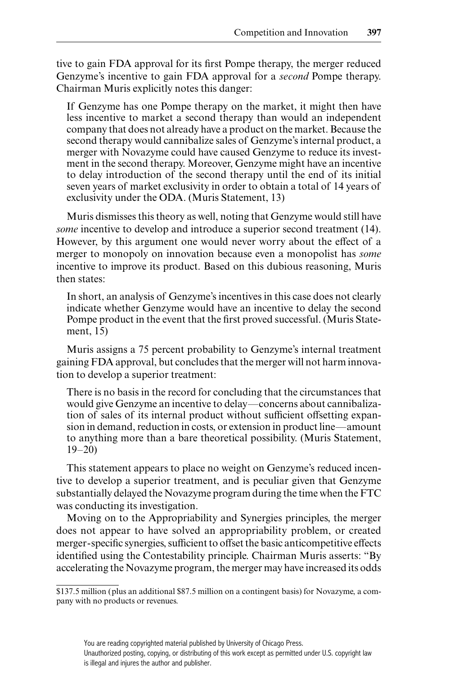tive to gain FDA approval for its first Pompe therapy, the merger reduced Genzyme's incentive to gain FDA approval for a *second* Pompe therapy. Chairman Muris explicitly notes this danger:

If Genzyme has one Pompe therapy on the market, it might then have less incentive to market a second therapy than would an independent company that does not already have a product on the market. Because the second therapy would cannibalize sales of Genzyme's internal product, a merger with Novazyme could have caused Genzyme to reduce its investment in the second therapy. Moreover, Genzyme might have an incentive to delay introduction of the second therapy until the end of its initial seven years of market exclusivity in order to obtain a total of 14 years of exclusivity under the ODA. (Muris Statement, 13)

Muris dismisses this theory as well, noting that Genzyme would still have *some* incentive to develop and introduce a superior second treatment (14). However, by this argument one would never worry about the effect of a merger to monopoly on innovation because even a monopolist has *some* incentive to improve its product. Based on this dubious reasoning, Muris then states:

In short, an analysis of Genzyme's incentives in this case does not clearly indicate whether Genzyme would have an incentive to delay the second Pompe product in the event that the first proved successful. (Muris Statement, 15)

Muris assigns a 75 percent probability to Genzyme's internal treatment gaining FDA approval, but concludes that the merger will not harm innovation to develop a superior treatment:

There is no basis in the record for concluding that the circumstances that would give Genzyme an incentive to delay—concerns about cannibalization of sales of its internal product without sufficient offsetting expansion in demand, reduction in costs, or extension in product line—amount to anything more than a bare theoretical possibility. (Muris Statement,  $19 - 20$ 

This statement appears to place no weight on Genzyme's reduced incentive to develop a superior treatment, and is peculiar given that Genzyme substantially delayed the Novazyme program during the time when the FTC was conducting its investigation.

Moving on to the Appropriability and Synergies principles, the merger does not appear to have solved an appropriability problem, or created merger-specific synergies, sufficient to offset the basic anticompetitive effects identified using the Contestability principle. Chairman Muris asserts: "By accelerating the Novazyme program, the merger may have increased its odds

<sup>\$137.5</sup> million (plus an additional \$87.5 million on a contingent basis) for Novazyme, a company with no products or revenues.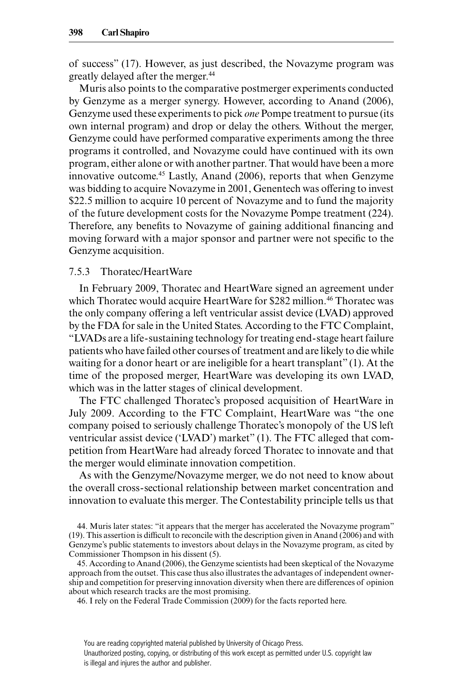of success" (17). However, as just described, the Novazyme program was greatly delayed after the merger.<sup>44</sup>

Muris also points to the comparative postmerger experiments conducted by Genzyme as a merger synergy. However, according to Anand (2006), Genzyme used these experiments to pick *one* Pompe treatment to pursue (its own internal program) and drop or delay the others. Without the merger, Genzyme could have performed comparative experiments among the three programs it controlled, and Novazyme could have continued with its own program, either alone or with another partner. That would have been a more innovative outcome.<sup>45</sup> Lastly, Anand (2006), reports that when Genzyme was bidding to acquire Novazyme in 2001, Genentech was offering to invest \$22.5 million to acquire 10 percent of Novazyme and to fund the majority of the future development costs for the Novazyme Pompe treatment (224). Therefore, any benefits to Novazyme of gaining additional financing and moving forward with a major sponsor and partner were not specific to the Genzyme acquisition.

### 7.5.3 Thoratec/ HeartWare

In February 2009, Thoratec and HeartWare signed an agreement under which Thoratec would acquire HeartWare for \$282 million.<sup>46</sup> Thoratec was the only company offering a left ventricular assist device (LVAD) approved by the FDA for sale in the United States. According to the FTC Complaint, "LVADs are a life- sustaining technology for treating end- stage heart failure patients who have failed other courses of treatment and are likely to die while

waiting for a donor heart or are ineligible for a heart transplant" (1). At the time of the proposed merger, HeartWare was developing its own LVAD, which was in the latter stages of clinical development.

The FTC challenged Thoratec's proposed acquisition of HeartWare in July 2009. According to the FTC Complaint, HeartWare was "the one company poised to seriously challenge Thoratec's monopoly of the US left ventricular assist device ('LVAD') market" (1). The FTC alleged that competition from HeartWare had already forced Thoratec to innovate and that the merger would eliminate innovation competition.

As with the Genzyme/ Novazyme merger, we do not need to know about the overall cross- sectional relationship between market concentration and innovation to evaluate this merger. The Contestability principle tells us that

44. Muris later states: "it appears that the merger has accelerated the Novazyme program" (19). This assertion is difficult to reconcile with the description given in Anand (2006) and with Genzyme's public statements to investors about delays in the Novazyme program, as cited by Commissioner Thompson in his dissent (5).

45. According to Anand (2006), the Genzyme scientists had been skeptical of the Novazyme approach from the outset. This case thus also illustrates the advantages of independent ownership and competition for preserving innovation diversity when there are differences of opinion about which research tracks are the most promising.

46. I rely on the Federal Trade Commission (2009) for the facts reported here.

 You are reading copyrighted material published by University of Chicago Press. Unauthorized posting, copying, or distributing of this work except as permitted under U.S. copyright law is illegal and injures the author and publisher.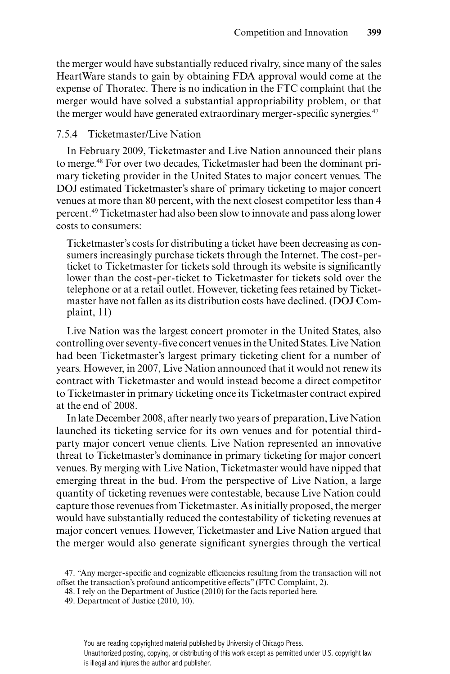the merger would have substantially reduced rivalry, since many of the sales HeartWare stands to gain by obtaining FDA approval would come at the expense of Thoratec. There is no indication in the FTC complaint that the merger would have solved a substantial appropriability problem, or that the merger would have generated extraordinary merger-specific synergies.<sup>47</sup>

#### 7.5.4 Ticketmaster/Live Nation

In February 2009, Ticketmaster and Live Nation announced their plans to merge.48 For over two decades, Ticketmaster had been the dominant primary ticketing provider in the United States to major concert venues. The DOJ estimated Ticketmaster's share of primary ticketing to major concert venues at more than 80 percent, with the next closest competitor less than 4 percent.49 Ticketmaster had also been slow to innovate and pass along lower costs to consumers:

Ticketmaster's costs for distributing a ticket have been decreasing as consumers increasingly purchase tickets through the Internet. The cost- per ticket to Ticketmaster for tickets sold through its website is significantly lower than the cost-per-ticket to Ticketmaster for tickets sold over the telephone or at a retail outlet. However, ticketing fees retained by Ticketmaster have not fallen as its distribution costs have declined. (DOJ Complaint, 11)

Live Nation was the largest concert promoter in the United States, also controlling over seventy-five concert venues in the United States. Live Nation had been Ticketmaster's largest primary ticketing client for a number of years. However, in 2007, Live Nation announced that it would not renew its contract with Ticketmaster and would instead become a direct competitor to Ticketmaster in primary ticketing once its Ticketmaster contract expired at the end of 2008.

In late December 2008, after nearly two years of preparation, Live Nation launched its ticketing service for its own venues and for potential third party major concert venue clients. Live Nation represented an innovative threat to Ticketmaster's dominance in primary ticketing for major concert venues. By merging with Live Nation, Ticketmaster would have nipped that emerging threat in the bud. From the perspective of Live Nation, a large quantity of ticketing revenues were contestable, because Live Nation could capture those revenues from Ticketmaster. As initially proposed, the merger would have substantially reduced the contestability of ticketing revenues at major concert venues. However, Ticketmaster and Live Nation argued that the merger would also generate significant synergies through the vertical

<sup>47. &</sup>quot;Any merger-specific and cognizable efficiencies resulting from the transaction will not offset the transaction's profound anticompetitive effects" (FTC Complaint, 2).

<sup>48.</sup> I rely on the Department of Justice (2010) for the facts reported here.

<sup>49.</sup> Department of Justice (2010, 10).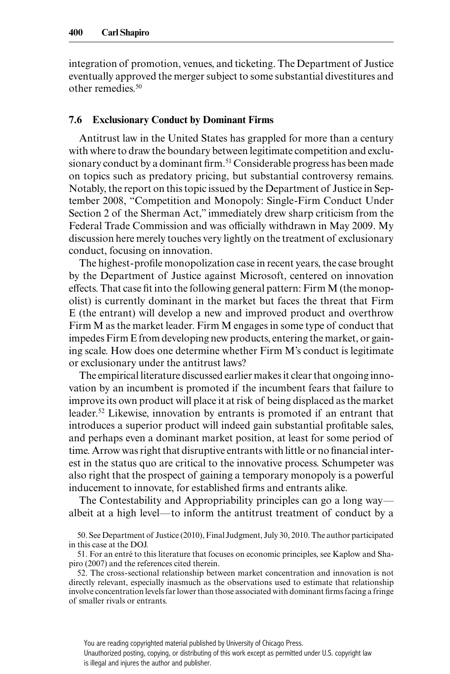integration of promotion, venues, and ticketing. The Department of Justice eventually approved the merger subject to some substantial divestitures and other remedies.50

#### **7.6 Exclusionary Conduct by Dominant Firms**

Antitrust law in the United States has grappled for more than a century with where to draw the boundary between legitimate competition and exclusionary conduct by a dominant firm.<sup>51</sup> Considerable progress has been made on topics such as predatory pricing, but substantial controversy remains. Notably, the report on this topic issued by the Department of Justice in September 2008, "Competition and Monopoly: Single-Firm Conduct Under Section 2 of the Sherman Act," immediately drew sharp criticism from the Federal Trade Commission and was officially withdrawn in May 2009. My discussion here merely touches very lightly on the treatment of exclusionary conduct, focusing on innovation.

The highest-profile monopolization case in recent years, the case brought by the Department of Justice against Microsoft, centered on innovation effects. That case fit into the following general pattern: Firm M (the monopolist) is currently dominant in the market but faces the threat that Firm E (the entrant) will develop a new and improved product and overthrow Firm M as the market leader. Firm M engages in some type of conduct that impedes Firm E from developing new products, entering the market, or gaining scale. How does one determine whether Firm M's conduct is legitimate or exclusionary under the antitrust laws?

The empirical literature discussed earlier makes it clear that ongoing innovation by an incumbent is promoted if the incumbent fears that failure to improve its own product will place it at risk of being displaced as the market leader.52 Likewise, innovation by entrants is promoted if an entrant that introduces a superior product will indeed gain substantial profitable sales, and perhaps even a dominant market position, at least for some period of time. Arrow was right that disruptive entrants with little or no financial interest in the status quo are critical to the innovative process. Schumpeter was also right that the prospect of gaining a temporary monopoly is a powerful inducement to innovate, for established firms and entrants alike.

The Contestability and Appropriability principles can go a long way albeit at a high level—to inform the antitrust treatment of conduct by a

50. See Department of Justice (2010), Final Judgment, July 30, 2010. The author participated in this case at the DOJ.

51. For an entré to this literature that focuses on economic principles, see Kaplow and Shapiro (2007) and the references cited therein.

52. The cross- sectional relationship between market concentration and innovation is not directly relevant, especially inasmuch as the observations used to estimate that relationship involve concentration levels far lower than those associated with dominant firms facing a fringe of smaller rivals or entrants.

You are reading copyrighted material published by University of Chicago Press.

 Unauthorized posting, copying, or distributing of this work except as permitted under U.S. copyright law is illegal and injures the author and publisher.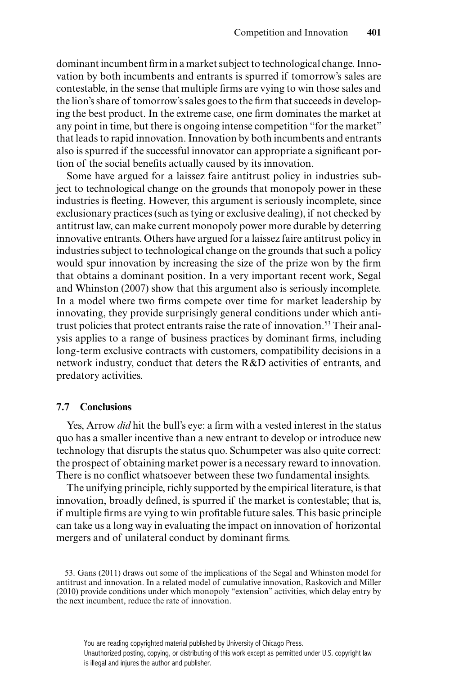dominant incumbent firm in a market subject to technological change. Innovation by both incumbents and entrants is spurred if tomorrow's sales are contestable, in the sense that multiple firms are vying to win those sales and the lion's share of tomorrow's sales goes to the firm that succeeds in developing the best product. In the extreme case, one firm dominates the market at any point in time, but there is ongoing intense competition "for the market" that leads to rapid innovation. Innovation by both incumbents and entrants also is spurred if the successful innovator can appropriate a significant portion of the social benefits actually caused by its innovation.

Some have argued for a laissez faire antitrust policy in industries subject to technological change on the grounds that monopoly power in these industries is fleeting. However, this argument is seriously incomplete, since exclusionary practices (such as tying or exclusive dealing), if not checked by antitrust law, can make current monopoly power more durable by deterring innovative entrants. Others have argued for a laissez faire antitrust policy in industries subject to technological change on the grounds that such a policy would spur innovation by increasing the size of the prize won by the firm that obtains a dominant position. In a very important recent work, Segal and Whinston (2007) show that this argument also is seriously incomplete. In a model where two firms compete over time for market leadership by innovating, they provide surprisingly general conditions under which antitrust policies that protect entrants raise the rate of innovation.<sup>53</sup> Their analysis applies to a range of business practices by dominant firms, including long- term exclusive contracts with customers, compatibility decisions in a network industry, conduct that deters the R&D activities of entrants, and predatory activities.

#### **7.7 Conclusions**

Yes, Arrow *did* hit the bull's eye: a firm with a vested interest in the status quo has a smaller incentive than a new entrant to develop or introduce new technology that disrupts the status quo. Schumpeter was also quite correct: the prospect of obtaining market power is a necessary reward to innovation. There is no conflict whatsoever between these two fundamental insights.

The unifying principle, richly supported by the empirical literature, is that innovation, broadly defined, is spurred if the market is contestable; that is, if multiple firms are vying to win profitable future sales. This basic principle can take us a long way in evaluating the impact on innovation of horizontal mergers and of unilateral conduct by dominant firms.

53. Gans (2011) draws out some of the implications of the Segal and Whinston model for antitrust and innovation. In a related model of cumulative innovation, Raskovich and Miller (2010) provide conditions under which monopoly "extension" activities, which delay entry by the next incumbent, reduce the rate of innovation.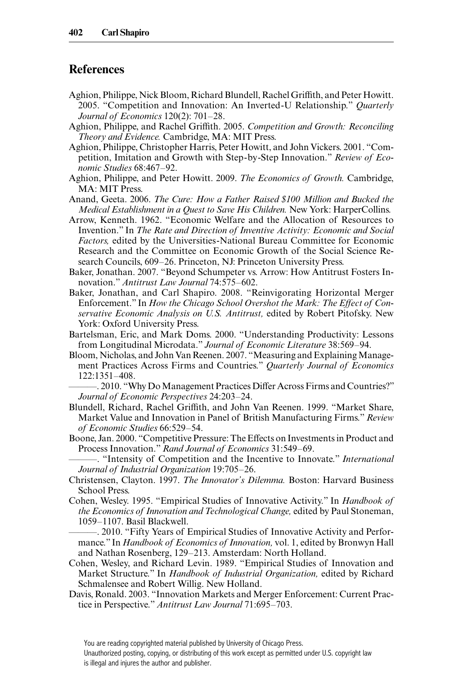# **References**

- Aghion, Philippe, Nick Bloom, Richard Blundell, Rachel Griffith, and Peter Howitt. 2005. "Competition and Innovation: An Inverted- U Relationship." *Quarterly Journal of Economics* 120(2): 701–28.
- Aghion, Philippe, and Rachel Griffith. 2005. *Competition and Growth: Reconciling Theory and Evidence.* Cambridge, MA: MIT Press.
- Aghion, Philippe, Christopher Harris, Peter Howitt, and John Vickers. 2001. "Competition, Imitation and Growth with Step- by- Step Innovation." *Review of Economic Studies* 68:467– 92.
- Aghion, Philippe, and Peter Howitt. 2009. *The Economics of Growth.* Cambridge, MA: MIT Press.
- Anand, Geeta. 2006. *The Cure: How a Father Raised \$100 Million and Bucked the Medical Establishment in a Quest to Save His Children.* New York: HarperCollins.
- Arrow, Kenneth. 1962. "Economic Welfare and the Allocation of Resources to Invention." In *The Rate and Direction of Inventive Activity: Economic and Social Factors,* edited by the Universities- National Bureau Committee for Economic Research and the Committee on Economic Growth of the Social Science Research Councils, 609–26. Princeton, NJ: Princeton University Press.
- Baker, Jonathan. 2007. "Beyond Schumpeter vs. Arrow: How Antitrust Fosters Innovation." Antitrust Law Journal 74:575-602.
- Baker, Jonathan, and Carl Shapiro. 2008. "Reinvigorating Horizontal Merger Enforcement." In *How the Chicago School Overshot the Mark: The Effect of Conservative Economic Analysis on U.S. Antitrust,* edited by Robert Pitofsky. New York: Oxford University Press.
- Bartelsman, Eric, and Mark Doms. 2000. "Understanding Productivity: Lessons from Longitudinal Microdata." Journal of Economic Literature 38:569-94.
- Bloom, Nicholas, and John Van Reenen. 2007. "Measuring and Explaining Management Practices Across Firms and Countries." *Quarterly Journal of Economics* 122:1351-408.

———. 2010. "Why Do Management Practices Differ Across Firms and Countries?" *Journal of Economic Perspectives* 24:203– 24.

- Blundell, Richard, Rachel Griffith, and John Van Reenen. 1999. "Market Share, Market Value and Innovation in Panel of British Manufacturing Firms." *Review of Economic Studies* 66:529– 54.
- Boone, Jan. 2000. "Competitive Pressure: The Effects on Investments in Product and Process Innovation." *Rand Journal of Economics* 31:549-69.

———. "Intensity of Competition and the Incentive to Innovate." *International Journal of Industrial Organization* 19:705– 26.

- Christensen, Clayton. 1997. *The Innovator's Dilemma.* Boston: Harvard Business School Press.
- Cohen, Wesley. 1995. "Empirical Studies of Innovative Activity." In *Handbook of the Economics of Innovation and Technological Change,* edited by Paul Stoneman, 1059– 1107. Basil Blackwell.
- ———. 2010. "Fifty Years of Empirical Studies of Innovative Activity and Performance." In *Handbook of Economics of Innovation,* vol. 1, edited by Bronwyn Hall and Nathan Rosenberg, 129–213. Amsterdam: North Holland.
- Cohen, Wesley, and Richard Levin. 1989. "Empirical Studies of Innovation and Market Structure." In *Handbook of Industrial Organization,* edited by Richard Schmalensee and Robert Willig. New Holland.
- Davis, Ronald. 2003. "Innovation Markets and Merger Enforcement: Current Practice in Perspective." *Antitrust Law Journal* 71:695– 703.

is illegal and injures the author and publisher.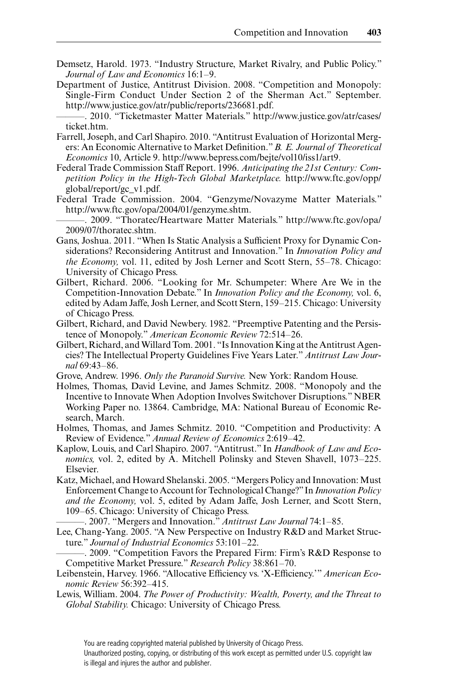- Demsetz, Harold. 1973. "Industry Structure, Market Rivalry, and Public Policy." *Journal of Law and Economics* 16:1–9.
- Department of Justice, Antitrust Division. 2008. "Competition and Monopoly: Single- Firm Conduct Under Section 2 of the Sherman Act." September. http://www.justice.gov/atr/public/reports/236681.pdf.
- . 2010. "Ticketmaster Matter Materials." http://www.justice.gov/atr/cases/ ticket.htm.
- Farrell, Joseph, and Carl Shapiro. 2010. "Antitrust Evaluation of Horizontal Mergers: An Economic Alternative to Market Definition." *B. E. Journal of Theoretical Economics* 10, Article 9. http://www.bepress.com/bejte/vol10/iss1/art9.
- Federal Trade Commission Staff Report. 1996. *Anticipating the 21st Century: Com*petition Policy in the High-Tech Global Marketplace. http://www.ftc.gov/opp/ global/report/gc\_v1.pdf.
- Federal Trade Commission. 2004. "Genzyme/ Novazyme Matter Materials." http://www.ftc.gov/opa/2004/01/genzyme.shtm.

-. 2009. "Thoratec/Heartware Matter Materials." http://www.ftc.gov/opa/ 2009/07/thoratec.shtm.

- Gans, Joshua. 2011. "When Is Static Analysis a Sufficient Proxy for Dynamic Considerations? Reconsidering Antitrust and Innovation." In *Innovation Policy and the Economy*, vol. 11, edited by Josh Lerner and Scott Stern, 55–78. Chicago: University of Chicago Press.
- Gilbert, Richard. 2006. "Looking for Mr. Schumpeter: Where Are We in the Competition- Innovation Debate." In *Innovation Policy and the Economy,* vol. 6, edited by Adam Jaffe, Josh Lerner, and Scott Stern, 159-215. Chicago: University of Chicago Press.
- Gilbert, Richard, and David Newbery. 1982. "Preemptive Patenting and the Persistence of Monopoly." *American Economic Review* 72:514–26.
- Gilbert, Richard, and Willard Tom. 2001. "Is Innovation King at the Antitrust Agencies? The Intellectual Property Guidelines Five Years Later." *Antitrust Law Journal* 69:43– 86.
- Grove, Andrew. 1996. *Only the Paranoid Survive.* New York: Random House.
- Holmes, Thomas, David Levine, and James Schmitz. 2008. "Monopoly and the Incentive to Innovate When Adoption Involves Switchover Disruptions." NBER Working Paper no. 13864. Cambridge, MA: National Bureau of Economic Research, March.
- Holmes, Thomas, and James Schmitz. 2010. "Competition and Productivity: A Review of Evidence." Annual Review of Economics 2:619-42.
- Kaplow, Louis, and Carl Shapiro. 2007. "Antitrust." In *Handbook of Law and Economics*, vol. 2, edited by A. Mitchell Polinsky and Steven Shavell, 1073–225. Elsevier.
- Katz, Michael, and Howard Shelanski. 2005. "Mergers Policy and Innovation: Must Enforcement Change to Account for Technological Change?" In *Innovation Policy and the Economy,* vol. 5, edited by Adam Jaffe, Josh Lerner, and Scott Stern, 109–65. Chicago: University of Chicago Press.
	- ———. 2007. "Mergers and Innovation." *Antitrust Law Journal* 74:1– 85.
- Lee, Chang- Yang. 2005. "A New Perspective on Industry R&D and Market Structure." Journal of Industrial Economics 53:101-22.

-. 2009. "Competition Favors the Prepared Firm: Firm's R&D Response to Competitive Market Pressure." *Research Policy* 38:861– 70.

- Leibenstein, Harvey. 1966. "Allocative Efficiency vs. 'X- Efficiency.'" *American Economic Review* 56:392-415.
- Lewis, William. 2004. *The Power of Productivity: Wealth, Poverty, and the Threat to Global Stability.* Chicago: University of Chicago Press.

Unauthorized posting, copying, or distributing of this work except as permitted under U.S. copyright law is illegal and injures the author and publisher.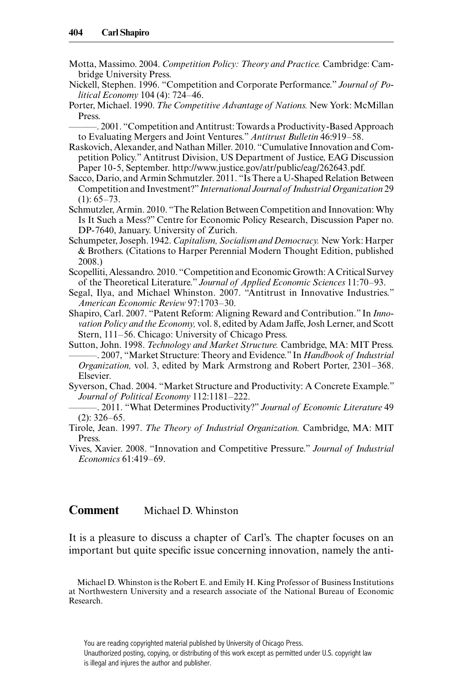- Motta, Massimo. 2004. *Competition Policy: Theory and Practice.* Cambridge: Cambridge University Press.
- Nickell, Stephen. 1996. "Competition and Corporate Performance." *Journal of Political Economy* 104 (4): 724– 46.
- Porter, Michael. 1990. *The Competitive Advantage of Nations.* New York: McMillan Press.

———. 2001. "Competition and Antitrust: Towards a Productivity- Based Approach to Evaluating Mergers and Joint Ventures." *Antitrust Bulletin* 46:919–58.

Raskovich, Alexander, and Nathan Miller. 2010. "Cumulative Innovation and Competition Policy." Antitrust Division, US Department of Justice, EAG Discussion Paper 10-5, September. http://www.justice.gov/atr/public/eag/262643.pdf.

- Sacco, Dario, and Armin Schmutzler. 2011. "Is There a U- Shaped Relation Between Competition and Investment?" *International Journal of Industrial Organization* 29  $(1): 65 - 73.$
- Schmutzler, Armin. 2010. "The Relation Between Competition and Innovation: Why Is It Such a Mess?" Centre for Economic Policy Research, Discussion Paper no. DP- 7640, January. University of Zurich.
- Schumpeter, Joseph. 1942. *Capitalism, Socialism and Democracy.* New York: Harper & Brothers. (Citations to Harper Perennial Modern Thought Edition, published 2008.)
- Scopelliti, Alessandro. 2010. "Competition and Economic Growth: A Critical Survey of the Theoretical Literature." Journal of Applied Economic Sciences 11:70-93.
- Segal, Ilya, and Michael Whinston. 2007. "Antitrust in Innovative Industries." *American Economic Review* 97:1703– 30.
- Shapiro, Carl. 2007. "Patent Reform: Aligning Reward and Contribution." In *Innovation Policy and the Economy,* vol. 8, edited by Adam Jaffe, Josh Lerner, and Scott Stern, 111–56. Chicago: University of Chicago Press.
- Sutton, John. 1998. *Technology and Market Structure.* Cambridge, MA: MIT Press. ———. 2007, "Market Structure: Theory and Evidence." In *Handbook of Industrial Organization, vol.* 3, edited by Mark Armstrong and Robert Porter, 2301-368.

Elsevier.

- Syverson, Chad. 2004. "Market Structure and Productivity: A Concrete Example." *Journal of Political Economy* 112:1181-222.
- ———. 2011. "What Determines Productivity?" *Journal of Economic Literature* 49  $(2): 326 - 65.$
- Tirole, Jean. 1997. *The Theory of Industrial Organization.* Cambridge, MA: MIT Press.
- Vives, Xavier. 2008. "Innovation and Competitive Pressure." *Journal of Industrial Economics* 61:419-69.

# **Comment** Michael D. Whinston

It is a pleasure to discuss a chapter of Carl's. The chapter focuses on an important but quite specific issue concerning innovation, namely the anti-

Michael D. Whinston is the Robert E. and Emily H. King Professor of Business Institutions at Northwestern University and a research associate of the National Bureau of Economic Research.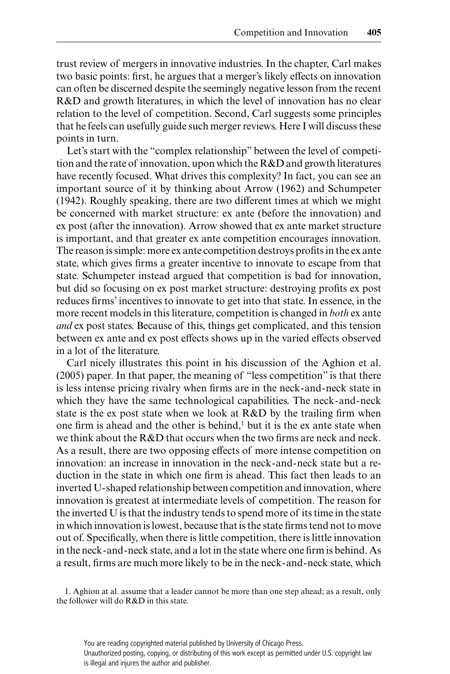trust review of mergers in innovative industries. In the chapter, Carl makes two basic points: first, he argues that a merger's likely effects on innovation can often be discerned despite the seemingly negative lesson from the recent R&D and growth literatures, in which the level of innovation has no clear relation to the level of competition. Second, Carl suggests some principles that he feels can usefully guide such merger reviews. Here I will discuss these points in turn.

Let's start with the "complex relationship" between the level of competition and the rate of innovation, upon which the R&D and growth literatures have recently focused. What drives this complexity? In fact, you can see an important source of it by thinking about Arrow (1962) and Schumpeter (1942). Roughly speaking, there are two different times at which we might be concerned with market structure: ex ante (before the innovation) and ex post (after the innovation). Arrow showed that ex ante market structure is important, and that greater ex ante competition encourages innovation. The reason is simple: more ex ante competition destroys profits in the ex ante state, which gives firms a greater incentive to innovate to escape from that state. Schumpeter instead argued that competition is bad for innovation, but did so focusing on ex post market structure: destroying profits ex post reduces firms' incentives to innovate to get into that state. In essence, in the more recent models in this literature, competition is changed in *both* ex ante *and* ex post states. Because of this, things get complicated, and this tension between ex ante and ex post effects shows up in the varied effects observed in a lot of the literature.

Carl nicely illustrates this point in his discussion of the Aghion et al. (2005) paper. In that paper, the meaning of "less competition" is that there is less intense pricing rivalry when firms are in the neck-and-neck state in which they have the same technological capabilities. The neck- and- neck state is the ex post state when we look at  $R&D$  by the trailing firm when one firm is ahead and the other is behind, $1$  but it is the ex ante state when we think about the  $R&D$  that occurs when the two firms are neck and neck. As a result, there are two opposing effects of more intense competition on innovation: an increase in innovation in the neck- and- neck state but a reduction in the state in which one firm is ahead. This fact then leads to an inverted U- shaped relationship between competition and innovation, where innovation is greatest at intermediate levels of competition. The reason for the inverted U is that the industry tends to spend more of its time in the state in which innovation is lowest, because that is the state firms tend not to move out of. Specifically, when there is little competition, there is little innovation in the neck- and-neck state, and a lot in the state where one firm is behind. As a result, firms are much more likely to be in the neck- and-neck state, which

1. Aghion at al. assume that a leader cannot be more than one step ahead; as a result, only the follower will do R&D in this state.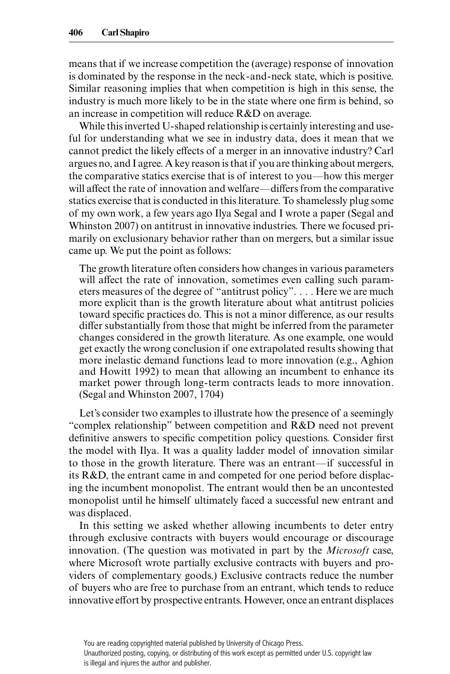means that if we increase competition the (average) response of innovation is dominated by the response in the neck- and- neck state, which is positive. Similar reasoning implies that when competition is high in this sense, the industry is much more likely to be in the state where one firm is behind, so an increase in competition will reduce R&D on average.

While this inverted U-shaped relationship is certainly interesting and useful for understanding what we see in industry data, does it mean that we cannot predict the likely effects of a merger in an innovative industry? Carl argues no, and I agree. A key reason is that if you are thinking about mergers, the comparative statics exercise that is of interest to you—how this merger will affect the rate of innovation and welfare—differs from the comparative statics exercise that is conducted in this literature. To shamelessly plug some of my own work, a few years ago Ilya Segal and I wrote a paper (Segal and Whinston 2007) on antitrust in innovative industries. There we focused primarily on exclusionary behavior rather than on mergers, but a similar issue came up. We put the point as follows:

The growth literature often considers how changes in various parameters will affect the rate of innovation, sometimes even calling such parameters measures of the degree of "antitrust policy". . . . Here we are much more explicit than is the growth literature about what antitrust policies toward specific practices do. This is not a minor difference, as our results differ substantially from those that might be inferred from the parameter changes considered in the growth literature. As one example, one would get exactly the wrong conclusion if one extrapolated results showing that more inelastic demand functions lead to more innovation (e.g., Aghion and Howitt 1992) to mean that allowing an incumbent to enhance its market power through long- term contracts leads to more innovation. (Segal and Whinston 2007, 1704)

Let's consider two examples to illustrate how the presence of a seemingly "complex relationship" between competition and R&D need not prevent definitive answers to specific competition policy questions. Consider first the model with Ilya. It was a quality ladder model of innovation similar to those in the growth literature. There was an entrant—if successful in its R&D, the entrant came in and competed for one period before displacing the incumbent monopolist. The entrant would then be an uncontested monopolist until he himself ultimately faced a successful new entrant and was displaced.

In this setting we asked whether allowing incumbents to deter entry through exclusive contracts with buyers would encourage or discourage innovation. (The question was motivated in part by the *Microsoft* case, where Microsoft wrote partially exclusive contracts with buyers and providers of complementary goods.) Exclusive contracts reduce the number of buyers who are free to purchase from an entrant, which tends to reduce innovative effort by prospective entrants. However, once an entrant displaces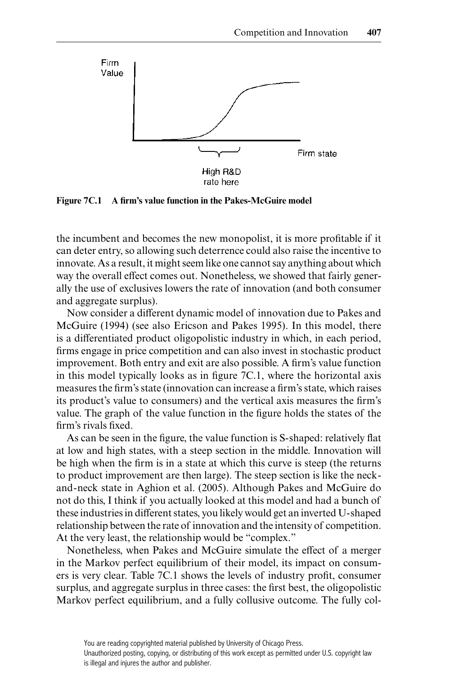

Figure 7C.1 A firm's value function in the Pakes-McGuire model

the incumbent and becomes the new monopolist, it is more profitable if it can deter entry, so allowing such deterrence could also raise the incentive to innovate. As a result, it might seem like one cannot say anything about which way the overall effect comes out. Nonetheless, we showed that fairly generally the use of exclusives lowers the rate of innovation (and both consumer and aggregate surplus).

Now consider a different dynamic model of innovation due to Pakes and McGuire (1994) (see also Ericson and Pakes 1995). In this model, there is a differentiated product oligopolistic industry in which, in each period, firms engage in price competition and can also invest in stochastic product improvement. Both entry and exit are also possible. A firm's value function in this model typically looks as in figure  $7C.1$ , where the horizontal axis measures the firm's state (innovation can increase a firm's state, which raises its product's value to consumers) and the vertical axis measures the firm's value. The graph of the value function in the figure holds the states of the firm's rivals fixed.

As can be seen in the figure, the value function is S-shaped: relatively flat at low and high states, with a steep section in the middle. Innovation will be high when the firm is in a state at which this curve is steep (the returns to product improvement are then large). The steep section is like the neck and- neck state in Aghion et al. (2005). Although Pakes and McGuire do not do this, I think if you actually looked at this model and had a bunch of these industries in different states, you likely would get an inverted U- shaped relationship between the rate of innovation and the intensity of competition. At the very least, the relationship would be "complex."

Nonetheless, when Pakes and McGuire simulate the effect of a merger in the Markov perfect equilibrium of their model, its impact on consumers is very clear. Table 7C.1 shows the levels of industry profit, consumer surplus, and aggregate surplus in three cases: the first best, the oligopolistic Markov perfect equilibrium, and a fully collusive outcome. The fully col-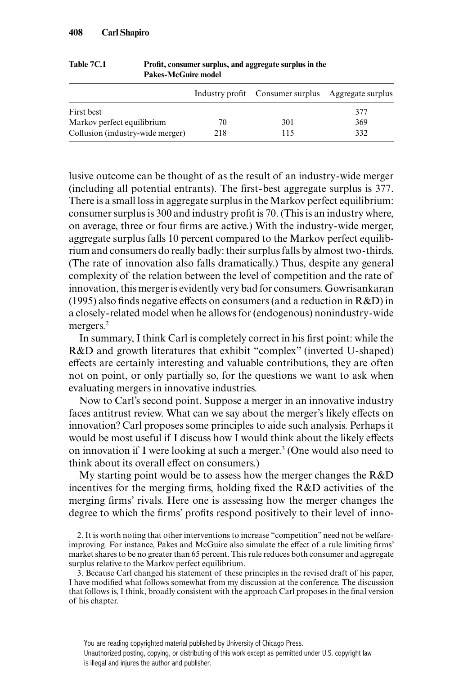|                                                                              |           | Industry profit Consumer surplus Aggregate surplus |                   |
|------------------------------------------------------------------------------|-----------|----------------------------------------------------|-------------------|
| First best<br>Markov perfect equilibrium<br>Collusion (industry-wide merger) | 70<br>218 | 301<br>115                                         | 377<br>369<br>332 |

Table 7C.1 Profit, consumer surplus, and aggregate surplus in the **Pakes- McGuire model**

lusive outcome can be thought of as the result of an industry- wide merger (including all potential entrants). The first-best aggregate surplus is 377. There is a small loss in aggregate surplus in the Markov perfect equilibrium: consumer surplus is 300 and industry profit is 70. (This is an industry where, on average, three or four firms are active.) With the industry-wide merger, aggregate surplus falls 10 percent compared to the Markov perfect equilibrium and consumers do really badly: their surplus falls by almost two- thirds. (The rate of innovation also falls dramatically.) Thus, despite any general complexity of the relation between the level of competition and the rate of innovation, this merger is evidently very bad for consumers. Gowrisankaran (1995) also finds negative effects on consumers (and a reduction in  $R&D$ ) in a closely- related model when he allows for (endogenous) nonindustry- wide mergers.<sup>2</sup>

In summary, I think Carl is completely correct in his first point: while the R&D and growth literatures that exhibit "complex" (inverted U-shaped) effects are certainly interesting and valuable contributions, they are often not on point, or only partially so, for the questions we want to ask when evaluating mergers in innovative industries.

Now to Carl's second point. Suppose a merger in an innovative industry faces antitrust review. What can we say about the merger's likely effects on innovation? Carl proposes some principles to aide such analysis. Perhaps it would be most useful if I discuss how I would think about the likely effects on innovation if I were looking at such a merger.<sup>3</sup> (One would also need to think about its overall effect on consumers.)

My starting point would be to assess how the merger changes the R&D incentives for the merging firms, holding fixed the  $R&D$  activities of the merging firms' rivals. Here one is assessing how the merger changes the degree to which the firms' profits respond positively to their level of inno-

2. It is worth noting that other interventions to increase "competition" need not be welfare improving. For instance, Pakes and McGuire also simulate the effect of a rule limiting firms' market shares to be no greater than 65 percent. This rule reduces both consumer and aggregate surplus relative to the Markov perfect equilibrium.

3. Because Carl changed his statement of these principles in the revised draft of his paper, I have modified what follows somewhat from my discussion at the conference. The discussion that follows is, I think, broadly consistent with the approach Carl proposes in the final version of his chapter.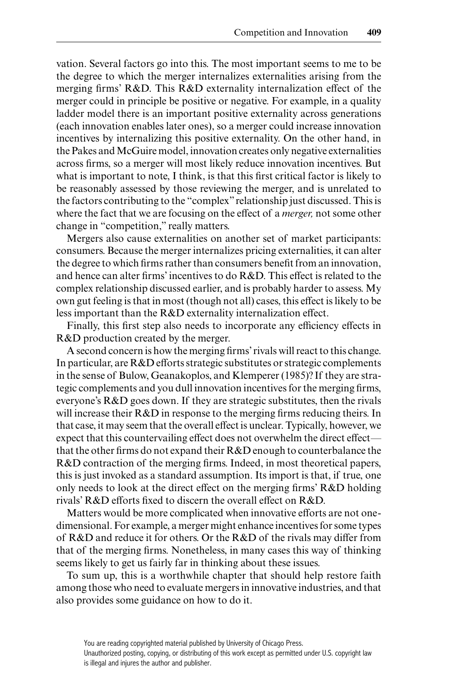vation. Several factors go into this. The most important seems to me to be the degree to which the merger internalizes externalities arising from the merging firms' R&D. This R&D externality internalization effect of the merger could in principle be positive or negative. For example, in a quality ladder model there is an important positive externality across generations (each innovation enables later ones), so a merger could increase innovation incentives by internalizing this positive externality. On the other hand, in the Pakes and McGuire model, innovation creates only negative externalities across firms, so a merger will most likely reduce innovation incentives. But what is important to note, I think, is that this first critical factor is likely to be reasonably assessed by those reviewing the merger, and is unrelated to the factors contributing to the "complex" relationship just discussed. This is where the fact that we are focusing on the effect of a *merger,* not some other change in "competition," really matters.

Mergers also cause externalities on another set of market participants: consumers. Because the merger internalizes pricing externalities, it can alter the degree to which firms rather than consumers benefit from an innovation, and hence can alter firms' incentives to do  $R&D$ . This effect is related to the complex relationship discussed earlier, and is probably harder to assess. My own gut feeling is that in most (though not all) cases, this effect is likely to be less important than the R&D externality internalization effect.

Finally, this first step also needs to incorporate any efficiency effects in R&D production created by the merger.

A second concern is how the merging firms' rivals will react to this change. In particular, are R&D efforts strategic substitutes or strategic complements in the sense of Bulow, Geanakoplos, and Klemperer (1985)? If they are strategic complements and you dull innovation incentives for the merging firms, everyone's R&D goes down. If they are strategic substitutes, then the rivals will increase their  $R&D$  in response to the merging firms reducing theirs. In that case, it may seem that the overall effect is unclear. Typically, however, we expect that this countervailing effect does not overwhelm the direct effect that the other firms do not expand their  $R&D$  enough to counterbalance the R&D contraction of the merging firms. Indeed, in most theoretical papers, this is just invoked as a standard assumption. Its import is that, if true, one only needs to look at the direct effect on the merging firms'  $R&D$  holding rivals' R&D efforts fixed to discern the overall effect on  $R&D$ .

Matters would be more complicated when innovative efforts are not one dimensional. For example, a merger might enhance incentives for some types of R&D and reduce it for others. Or the R&D of the rivals may differ from that of the merging firms. Nonetheless, in many cases this way of thinking seems likely to get us fairly far in thinking about these issues.

To sum up, this is a worthwhile chapter that should help restore faith among those who need to evaluate mergers in innovative industries, and that also provides some guidance on how to do it.